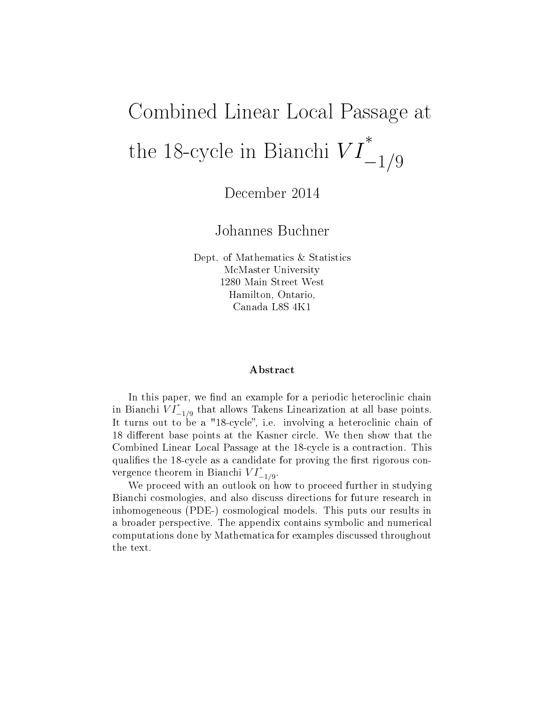# Combined Linear Local Passage at the 18-cycle in Bianchi  $VI$ ∗  $-1/9$

December 2014

Johannes Buchner

Dept. of Mathematics & Statistics McMaster University 1280 Main Street West Hamilton, Ontario, Canada L8S 4K1

#### ${\bf A}$ bstract

In this paper, we find an example for a periodic heteroclinic chain in Bianchi  $\overline{VI}^*_{-1/9}$  that allows Takens Linearization at all base points. It turns out to be a "18-cycle", i.e. involving a heteroclinic chain of 18 different base points at the Kasner circle. We then show that the Combined Linear Local Passage at the 18-cycle is a contraction. This qualifies the 18-cycle as a candidate for proving the first rigorous convergence theorem in Bianchi  $VI^*_{-1/9}$ .

We proceed with an outlook on how to proceed further in studying Bianchi cosmologies, and also discuss directions for future research in inhomogeneous (PDE-) cosmological models. This puts our results in a broader perspective. The appendix contains symbolic and numerical computations done by Mathematica for examples discussed throughout the text.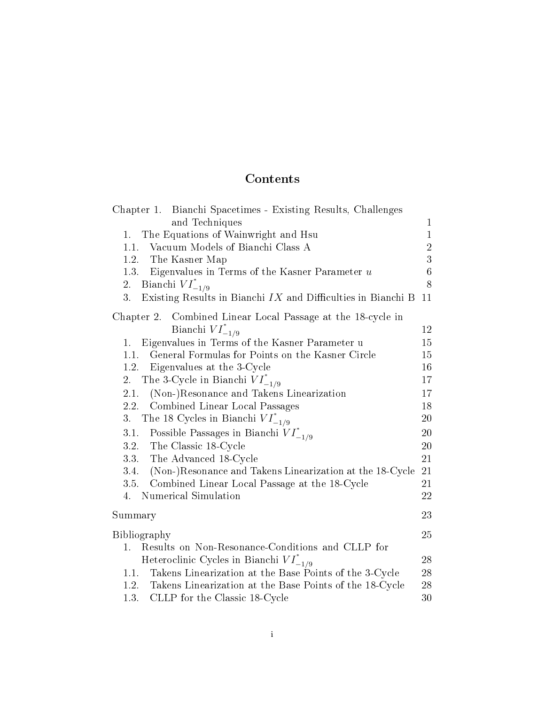# **Contents**

| Chapter 1. Bianchi Spacetimes - Existing Results, Challenges         |                |
|----------------------------------------------------------------------|----------------|
| and Techniques                                                       | $\mathbf 1$    |
| The Equations of Wainwright and Hsu<br>1.                            | $\mathbf{1}$   |
| Vacuum Models of Bianchi Class A<br>1.1.                             | $\overline{2}$ |
| The Kasner Map<br>1.2.                                               | 3              |
| 1.3. Eigenvalues in Terms of the Kasner Parameter u                  | $\overline{6}$ |
| 2.<br>Bianchi $VI^*_{-1/9}$                                          | 8              |
| Existing Results in Bianchi $IX$ and Difficulties in Bianchi B<br>3. | 11             |
| Combined Linear Local Passage at the 18-cycle in<br>Chapter 2.       |                |
| Bianchi $VI^*_{-1/9}$                                                | 12             |
| Eigenvalues in Terms of the Kasner Parameter u<br>1.                 | 15             |
| General Formulas for Points on the Kasner Circle<br>1.1.             | 15             |
| 1.2.<br>Eigenvalues at the 3-Cycle                                   | 16             |
| The 3-Cycle in Bianchi $VI^*_{-1/9}$<br>2.                           | 17             |
| (Non-)Resonance and Takens Linearization<br>2.1.                     | 17             |
| 2.2. Combined Linear Local Passages                                  | 18             |
| The 18 Cycles in Bianchi $VI^*_{-1/9}$<br>3.                         | 20             |
| 3.1. Possible Passages in Bianchi $VI^*_{-1/9}$                      | 20             |
| 3.2. The Classic 18-Cycle                                            | 20             |
| 3.3. The Advanced 18-Cycle                                           | 21             |
| (Non-)Resonance and Takens Linearization at the 18-Cycle<br>3.4.     | 21             |
| Combined Linear Local Passage at the 18-Cycle<br>3.5.                | 21             |
| Numerical Simulation<br>4.                                           | 22             |
| Summary                                                              | 23             |
| Bibliography                                                         | 25             |
| Results on Non-Resonance-Conditions and CLLP for<br>1.               |                |
| Heteroclinic Cycles in Bianchi $VI^*_{-1/9}$                         | 28             |
| Takens Linearization at the Base Points of the 3-Cycle<br>1.1.       | 28             |
| Takens Linearization at the Base Points of the 18-Cycle<br>1.2.      | 28             |
| CLLP for the Classic 18-Cycle<br>1.3.                                | 30             |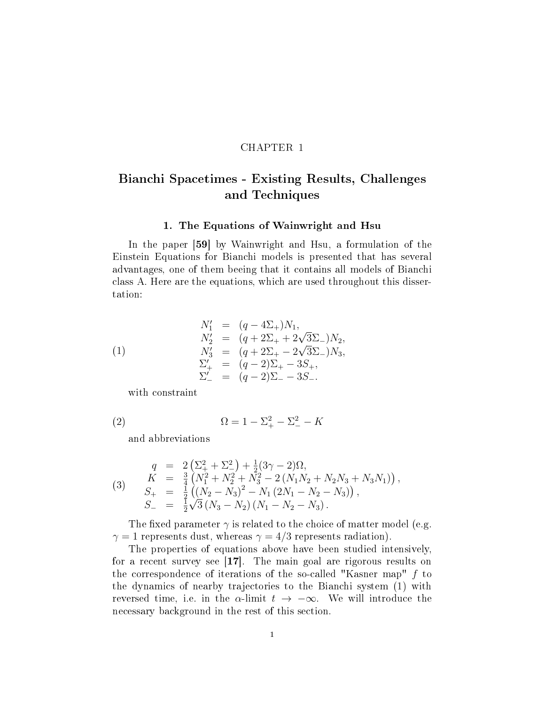#### CHAPTER 1

### Bianchi Spacetimes - Existing Results, Challenges and Techniques

#### 1. The Equations of Wainwright and Hsu

In the paper [59] by Wainwright and Hsu, a formulation of the Einstein Equations for Bianchi models is presented that has several advantages, one of them beeing that it contains all models of Bianchi class A. Here are the equations, which are used throughout this dissertation:

(1)  
\n
$$
N'_1 = (q - 4\Sigma_+)N_1,
$$
\n
$$
N'_2 = (q + 2\Sigma_+ + 2\sqrt{3}\Sigma_-)N_2,
$$
\n
$$
N'_3 = (q + 2\Sigma_+ - 2\sqrt{3}\Sigma_-)N_3,
$$
\n
$$
\Sigma'_+ = (q - 2)\Sigma_+ - 3S_+,
$$
\n
$$
\Sigma'_- = (q - 2)\Sigma_- - 3S_-.
$$

with constraint

(2) 
$$
\Omega = 1 - \Sigma_{+}^{2} - \Sigma_{-}^{2} - K
$$

and abbreviations

(3) 
$$
q = 2\left(\Sigma_{+}^{2} + \Sigma_{-}^{2}\right) + \frac{1}{2}(3\gamma - 2)\Omega,
$$
  
\n
$$
K = \frac{3}{4}\left(N_{1}^{2} + N_{2}^{2} + N_{3}^{2} - 2\left(N_{1}N_{2} + N_{2}N_{3} + N_{3}N_{1}\right)\right),
$$
  
\n
$$
S_{+} = \frac{1}{2}\left(\left(N_{2} - N_{3}\right)^{2} - N_{1}\left(2N_{1} - N_{2} - N_{3}\right)\right),
$$
  
\n
$$
S_{-} = \frac{1}{2}\sqrt{3}\left(N_{3} - N_{2}\right)\left(N_{1} - N_{2} - N_{3}\right).
$$

The fixed parameter  $\gamma$  is related to the choice of matter model (e.g.  $\gamma = 1$  represents dust, whereas  $\gamma = 4/3$  represents radiation).

The properties of equations above have been studied intensively, for a recent survey see [17]. The main goal are rigorous results on the correspondence of iterations of the so-called "Kasner map" f to the dynamics of nearby trajectories to the Bianchi system (1) with reversed time, i.e. in the  $\alpha$ -limit  $t \to -\infty$ . We will introduce the necessary background in the rest of this section.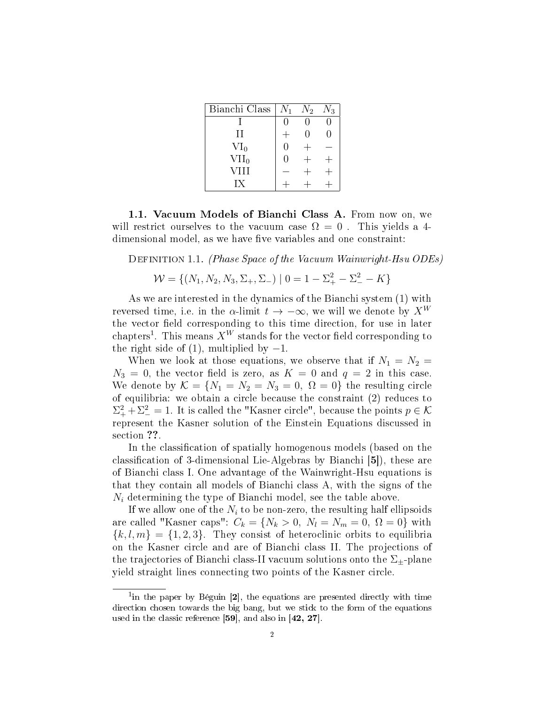| Bianchi Class | $N_1$  | $N_2$ | $N_3$ |
|---------------|--------|-------|-------|
|               |        |       |       |
| Н             |        | 0     | 0     |
| $VI_0$        | $\cup$ |       |       |
| $VII_0$       | $\Box$ |       |       |
| VIII          |        |       |       |
| IХ            |        |       |       |

1.1. Vacuum Models of Bianchi Class A. From now on, we will restrict ourselves to the vacuum case  $\Omega = 0$ . This yields a 4dimensional model, as we have five variables and one constraint:

DEFINITION 1.1. (Phase Space of the Vacuum Wainwright-Hsu ODEs)

$$
\mathcal{W} = \{ (N_1, N_2, N_3, \Sigma_+, \Sigma_-) \mid 0 = 1 - \Sigma_+^2 - \Sigma_-^2 - K \}
$$

As we are interested in the dynamics of the Bianchi system (1) with reversed time, i.e. in the  $\alpha$ -limit  $t \to -\infty$ , we will we denote by  $X^W$ the vector field corresponding to this time direction, for use in later chapters<sup>1</sup>. This means  $X^W$  stands for the vector field corresponding to the right side of  $(1)$ , multiplied by  $-1$ .

When we look at those equations, we observe that if  $N_1 = N_2$  $N_3 = 0$ , the vector field is zero, as  $K = 0$  and  $q = 2$  in this case. We denote by  $\mathcal{K} = \{N_1 = N_2 = N_3 = 0, \Omega = 0\}$  the resulting circle of equilibria: we obtain a circle because the constraint (2) reduces to  $\Sigma_{+}^{2} + \Sigma_{-}^{2} = 1$ . It is called the "Kasner circle", because the points  $p \in \mathcal{K}$ represent the Kasner solution of the Einstein Equations discussed in section ??.

In the classification of spatially homogenous models (based on the classification of 3-dimensional Lie-Algebras by Bianchi [5]), these are of Bianchi class I. One advantage of the Wainwright-Hsu equations is that they contain all models of Bianchi class A, with the signs of the  $N_i$  determining the type of Bianchi model, see the table above.

If we allow one of the  $N_i$  to be non-zero, the resulting half ellipsoids are called "Kasner caps":  $C_k = \{N_k > 0, N_l = N_m = 0, \Omega = 0\}$  with  ${k, l, m} = {1, 2, 3}$ . They consist of heteroclinic orbits to equilibria on the Kasner circle and are of Bianchi class II. The projections of the trajectories of Bianchi class-II vacuum solutions onto the  $\Sigma_{\pm}$ -plane yield straight lines connecting two points of the Kasner circle.

<sup>&</sup>lt;sup>1</sup>in the paper by Béguin [2], the equations are presented directly with time direction chosen towards the big bang, but we stick to the form of the equations used in the classic reference [59], and also in [42, 27].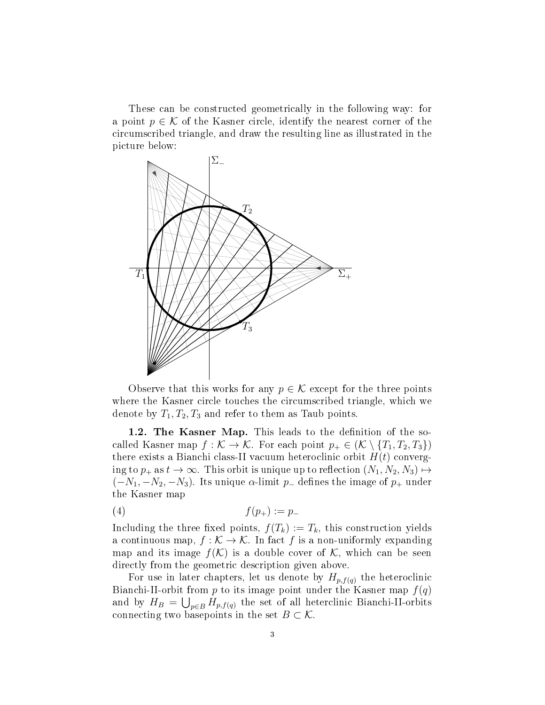These can be constructed geometrically in the following way: for a point  $p \in \mathcal{K}$  of the Kasner circle, identify the nearest corner of the circumscribed triangle, and draw the resulting line as illustrated in the picture below:



Observe that this works for any  $p \in \mathcal{K}$  except for the three points where the Kasner circle touches the circumscribed triangle, which we denote by  $T_1, T_2, T_3$  and refer to them as Taub points.

1.2. The Kasner Map. This leads to the definition of the socalled Kasner map  $f : \mathcal{K} \to \mathcal{K}$ . For each point  $p_+ \in (\mathcal{K} \setminus \{T_1, T_2, T_3\})$ there exists a Bianchi class-II vacuum heteroclinic orbit  $H(t)$  converging to  $p_+$  as  $t \to \infty$ . This orbit is unique up to reflection  $(N_1, N_2, N_3) \mapsto$  $(-N_1, -N_2, -N_3)$ . Its unique  $\alpha$ -limit p<sub>-</sub> defines the image of p<sub>+</sub> under the Kasner map

$$
(4) \t f(p_+) := p_-
$$

Including the three fixed points,  $f(T_k) := T_k$ , this construction yields a continuous map,  $f : \mathcal{K} \to \mathcal{K}$ . In fact f is a non-uniformly expanding map and its image  $f(\mathcal{K})$  is a double cover of  $\mathcal{K}$ , which can be seen directly from the geometric description given above.

For use in later chapters, let us denote by  $H_{p,f(q)}$  the heteroclinic Bianchi-II-orbit from  $p$  to its image point under the Kasner map  $f(q)$ and by  $H_B = \bigcup_{p \in B} H_{p,f(q)}$  the set of all heterclinic Bianchi-II-orbits connecting two basepoints in the set  $B \subset \mathcal{K}$ .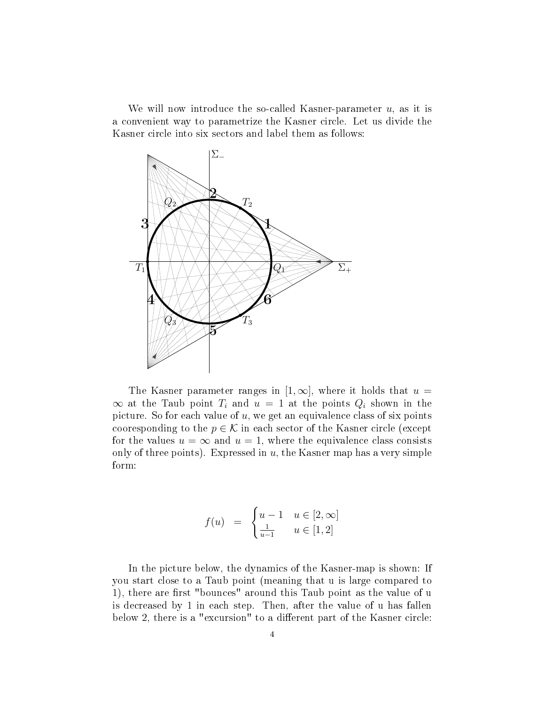We will now introduce the so-called Kasner-parameter  $u$ , as it is a convenient way to parametrize the Kasner circle. Let us divide the Kasner circle into six sectors and label them as follows:



The Kasner parameter ranges in  $[1,\infty]$ , where it holds that  $u =$  $\infty$  at the Taub point  $T_i$  and  $u = 1$  at the points  $Q_i$  shown in the picture. So for each value of  $u$ , we get an equivalence class of six points cooresponding to the  $p \in \mathcal{K}$  in each sector of the Kasner circle (except for the values  $u = \infty$  and  $u = 1$ , where the equivalence class consists only of three points). Expressed in  $u$ , the Kasner map has a very simple form:

$$
f(u) = \begin{cases} u - 1 & u \in [2, \infty] \\ \frac{1}{u - 1} & u \in [1, 2] \end{cases}
$$

In the picture below, the dynamics of the Kasner-map is shown: If you start close to a Taub point (meaning that u is large compared to 1), there are first "bounces" around this Taub point as the value of u is decreased by 1 in each step. Then, after the value of u has fallen below 2, there is a "excursion" to a different part of the Kasner circle: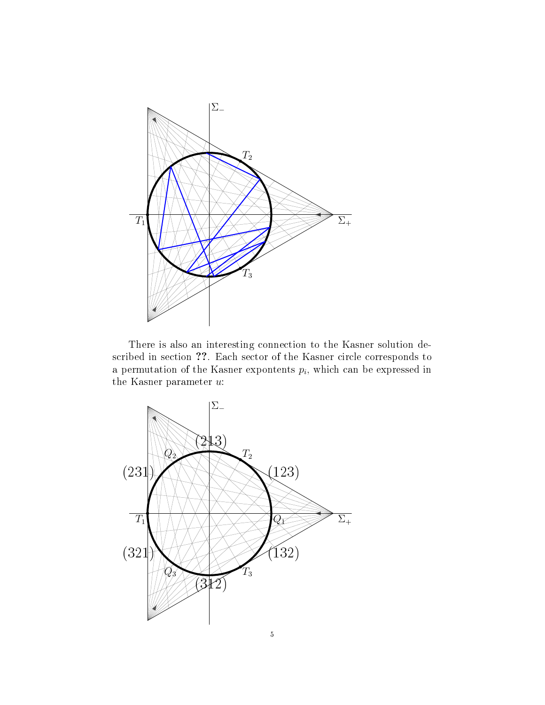

There is also an interesting connection to the Kasner solution described in section ??. Each sector of the Kasner circle corresponds to a permutation of the Kasner expontents  $p_i$ , which can be expressed in the Kasner parameter u:

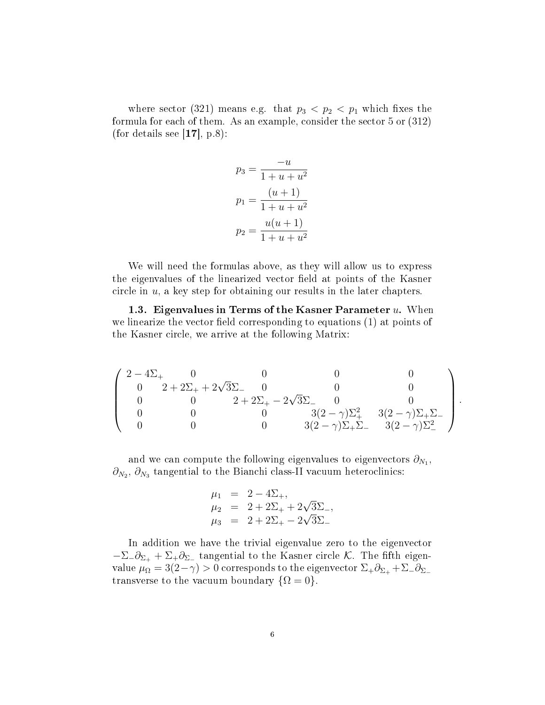where sector (321) means e.g. that  $p_3 < p_2 < p_1$  which fixes the formula for each of them. As an example, consider the sector 5 or (312) (for details see  $[17]$ , p.8):

$$
p_3 = \frac{-u}{1 + u + u^2}
$$

$$
p_1 = \frac{(u + 1)}{1 + u + u^2}
$$

$$
p_2 = \frac{u(u + 1)}{1 + u + u^2}
$$

We will need the formulas above, as they will allow us to express the eigenvalues of the linearized vector field at points of the Kasner circle in  $u$ , a key step for obtaining our results in the later chapters.

1.3. Eigenvalues in Terms of the Kasner Parameter  $u$ . When we linearize the vector field corresponding to equations  $(1)$  at points of the Kasner circle, we arrive at the following Matrix:

$$
\left(\begin{array}{cccccc}2-4\Sigma_+&0&0&0&0\\0&2+2\Sigma_++2\sqrt{3}\Sigma_-&0&0&0\\0&0&2+2\Sigma_+-2\sqrt{3}\Sigma_-&0&0\\0&0&0&3(2-\gamma)\Sigma_+^2&3(2-\gamma)\Sigma_+\Sigma_-\\0&0&0&3(2-\gamma)\Sigma_+\Sigma_-&3(2-\gamma)\Sigma_-^2\end{array}\right)
$$

.

and we can compute the following eigenvalues to eigenvectors  $\partial_{N_1},$  $\partial_{N_2},\,\partial_{N_3}$  tangential to the Bianchi class-II vacuum heteroclinics:

$$
\mu_1 = 2 - 4\Sigma_+, \n\mu_2 = 2 + 2\Sigma_+ + 2\sqrt{3}\Sigma_-, \n\mu_3 = 2 + 2\Sigma_+ - 2\sqrt{3}\Sigma_-
$$

In addition we have the trivial eigenvalue zero to the eigenvector  $-\Sigma_-\partial_{\Sigma_+}+\Sigma_+\partial_{\Sigma_-}$  tangential to the Kasner circle K. The fifth eigenvalue  $\mu_{\Omega} = 3(2-\gamma) > 0$  corresponds to the eigenvector  $\Sigma_+ \partial_{\Sigma_+} + \Sigma_- \partial_{\Sigma_-}$ transverse to the vacuum boundary  $\{\Omega = 0\}.$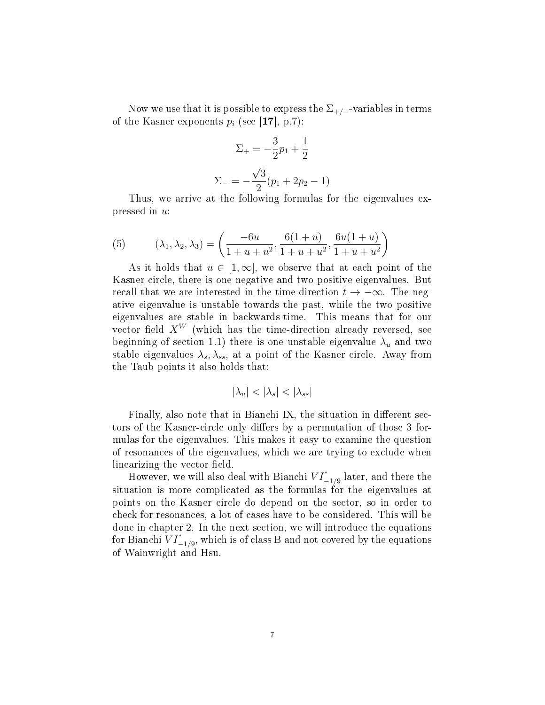Now we use that it is possible to express the  $\Sigma_{+/-}$ -variables in terms of the Kasner exponents  $p_i$  (see [17], p.7):

$$
\Sigma_{+} = -\frac{3}{2}p_1 + \frac{1}{2}
$$

$$
\Sigma_{-} = -\frac{\sqrt{3}}{2}(p_1 + 2p_2 - 1)
$$

Thus, we arrive at the following formulas for the eigenvalues expressed in u:

(5) 
$$
(\lambda_1, \lambda_2, \lambda_3) = \left(\frac{-6u}{1+u+u^2}, \frac{6(1+u)}{1+u+u^2}, \frac{6u(1+u)}{1+u+u^2}\right)
$$

As it holds that  $u \in [1,\infty]$ , we observe that at each point of the Kasner circle, there is one negative and two positive eigenvalues. But recall that we are interested in the time-direction  $t \to -\infty$ . The negative eigenvalue is unstable towards the past, while the two positive eigenvalues are stable in backwards-time. This means that for our vector field  $X^W$  (which has the time-direction already reversed, see beginning of section 1.1) there is one unstable eigenvalue  $\lambda_u$  and two stable eigenvalues  $\lambda_s, \lambda_{ss}$ , at a point of the Kasner circle. Away from the Taub points it also holds that:

$$
|\lambda_u| < |\lambda_s| < |\lambda_{ss}|
$$

Finally, also note that in Bianchi IX, the situation in different sectors of the Kasner-circle only differs by a permutation of those 3 formulas for the eigenvalues. This makes it easy to examine the question of resonances of the eigenvalues, which we are trying to exclude when linearizing the vector field.

However, we will also deal with Bianchi  $VI^*_{-1/9}$  later, and there the situation is more complicated as the formulas for the eigenvalues at points on the Kasner circle do depend on the sector, so in order to check for resonances, a lot of cases have to be considered. This will be done in chapter 2. In the next section, we will introduce the equations for Bianchi  $VI^*_{-1/9}$ , which is of class B and not covered by the equations of Wainwright and Hsu.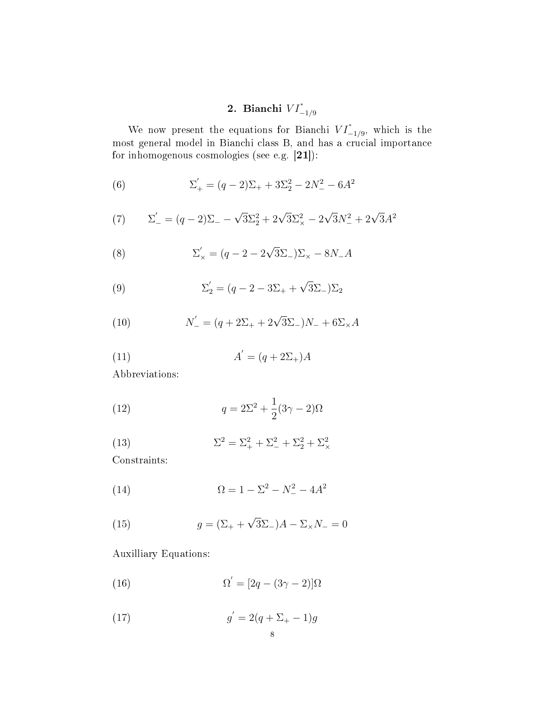### 2. Bianchi  $VI^*_{-1/9}$

We now present the equations for Bianchi  $VI^*_{-1/9}$ , which is the most general model in Bianchi class B, and has a crucial importance for inhomogenous cosmologies (see e.g. [21]):

(6) 
$$
\Sigma'_{+} = (q-2)\Sigma_{+} + 3\Sigma_{2}^{2} - 2N_{-}^{2} - 6A^{2}
$$

(7) 
$$
\Sigma'_{-} = (q-2)\Sigma_{-} - \sqrt{3}\Sigma_{2}^{2} + 2\sqrt{3}\Sigma_{\times}^{2} - 2\sqrt{3}N_{-}^{2} + 2\sqrt{3}A^{2}
$$

(8) 
$$
\Sigma'_{x} = (q - 2 - 2\sqrt{3}\Sigma_{-})\Sigma_{x} - 8N_{-}A
$$

(9) 
$$
\Sigma_2' = (q - 2 - 3\Sigma_+ + \sqrt{3}\Sigma_-)\Sigma_2
$$

(10) 
$$
N'_{-} = (q + 2\Sigma_{+} + 2\sqrt{3}\Sigma_{-})N_{-} + 6\Sigma_{\times}A
$$

$$
(11)\qquad \qquad A^{'} = (q + 2\Sigma_{+})A
$$

Abbreviations:

(12) 
$$
q = 2\Sigma^2 + \frac{1}{2}(3\gamma - 2)\Omega
$$

(13) 
$$
\Sigma^2 = \Sigma_+^2 + \Sigma_-^2 + \Sigma_2^2 + \Sigma_\times^2
$$

Constraints:

(14) 
$$
\Omega = 1 - \Sigma^2 - N_-^2 - 4A^2
$$

(15) 
$$
g = (\Sigma_{+} + \sqrt{3}\Sigma_{-})A - \Sigma_{\times}N_{-} = 0
$$

Auxilliary Equations:

(16) 
$$
\Omega' = [2q - (3\gamma - 2)]\Omega
$$

(17) 
$$
g' = 2(q + \Sigma_{+} - 1)g
$$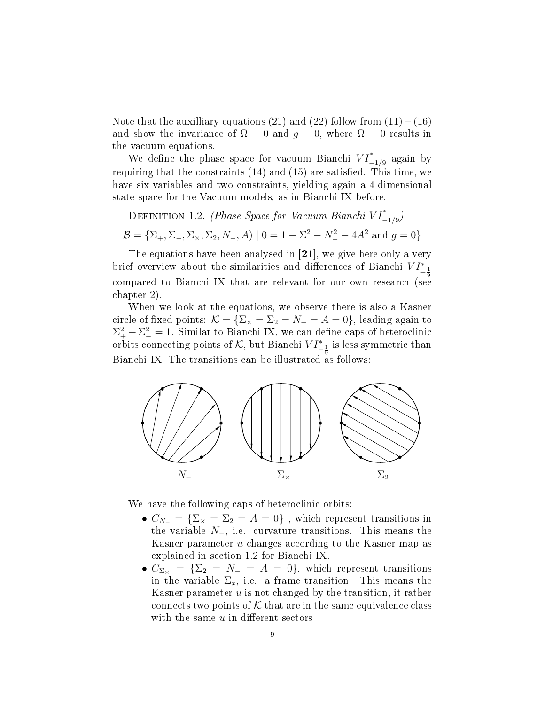Note that the auxilliary equations (21) and (22) follow from  $(11) - (16)$ and show the invariance of  $\Omega = 0$  and  $q = 0$ , where  $\Omega = 0$  results in the vacuum equations.

We define the phase space for vacuum Bianchi  $VI^*_{-1/9}$  again by requiring that the constraints  $(14)$  and  $(15)$  are satisfied. This time, we have six variables and two constraints, yielding again a 4-dimensional state space for the Vacuum models, as in Bianchi IX before.

DEFINITION 1.2. (Phase Space for Vacuum Bianchi VI $_{-1/9}^*$ )

 $\mathcal{B} = \{\Sigma_+,\Sigma_-,\Sigma_\times,\Sigma_2,N_-,A) \mid 0 = 1-\Sigma^2 - N_-^2 - 4 A^2 \text{ and } g = 0\}$ 

The equations have been analysed in [21], we give here only a very brief overview about the similarities and differences of Bianchi  $VI^*_{-\frac{1}{9}}$ compared to Bianchi IX that are relevant for our own research (see chapter 2).

When we look at the equations, we observe there is also a Kasner circle of fixed points:  $\mathcal{K} = \{\Sigma_{\times} = \Sigma_{2} = N_{-} = A = 0\}$ , leading again to  $\Sigma_{+}^{2} + \Sigma_{-}^{2} = 1$ . Similar to Bianchi IX, we can define caps of heteroclinic orbits connecting points of K, but Bianchi  $VI_{-\frac{1}{9}}^*$  is less symmetric than Bianchi IX. The transitions can be illustrated as follows:



We have the following caps of heteroclinic orbits:

- $C_{N_-} = \{\Sigma_{\times} = \Sigma_2 = A = 0\}$ , which represent transitions in the variable N−, i.e. curvature transitions. This means the Kasner parameter u changes according to the Kasner map as explained in section 1.2 for Bianchi IX.
- $C_{\Sigma_{\times}} = {\Sigma_2 = N_{-} = A = 0}$ , which represent transitions in the variable  $\Sigma_x$ , i.e. a frame transition. This means the Kasner parameter  $u$  is not changed by the transition, it rather connects two points of  $K$  that are in the same equivalence class with the same  $u$  in different sectors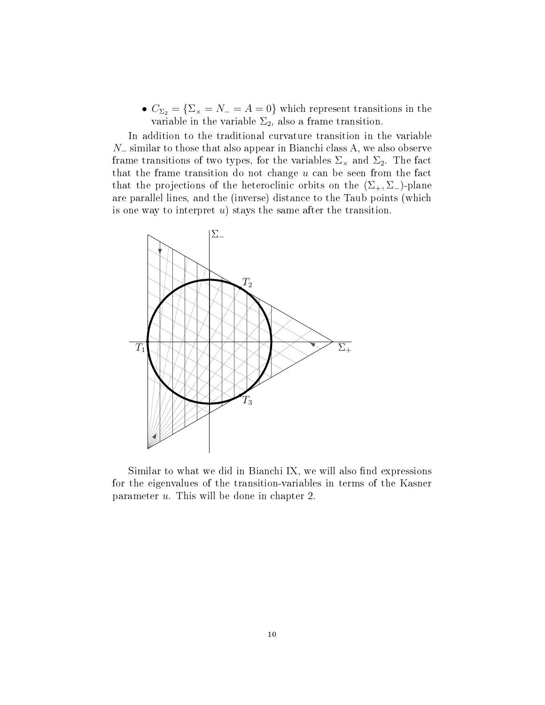•  $C_{\Sigma_2} = {\Sigma_\times} = N_- = A = 0$ } which represent transitions in the variable in the variable  $\Sigma_2$ , also a frame transition.

In addition to the traditional curvature transition in the variable N<sup>−</sup> similar to those that also appear in Bianchi class A, we also observe frame transitions of two types, for the variables  $\Sigma_{\times}$  and  $\Sigma_{2}$ . The fact that the frame transition do not change  $u$  can be seen from the fact that the projections of the heteroclinic orbits on the  $(\Sigma_{+}, \Sigma_{-})$ -plane are parallel lines, and the (inverse) distance to the Taub points (which is one way to interpret  $u$ ) stays the same after the transition.



Similar to what we did in Bianchi IX, we will also find expressions for the eigenvalues of the transition-variables in terms of the Kasner parameter u. This will be done in chapter 2.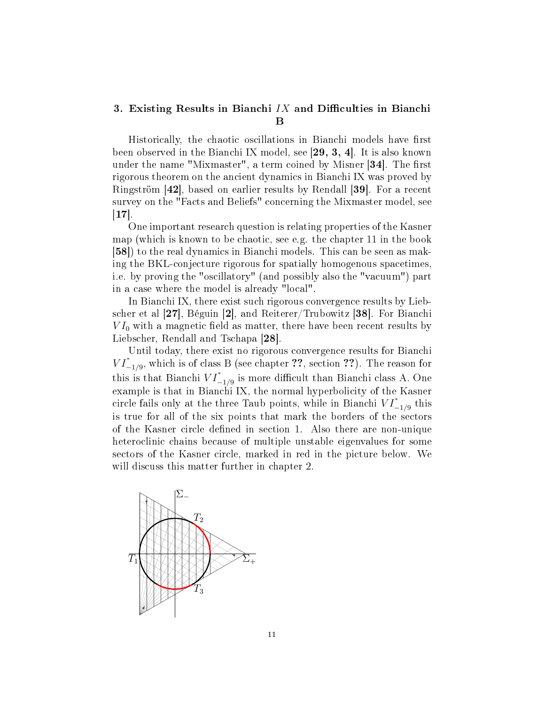### 3. Existing Results in Bianchi  $IX$  and Difficulties in Bianchi  $\, {\bf B} \,$

Historically, the chaotic oscillations in Bianchi models have first been observed in the Bianchi IX model, see [29, 3, 4]. It is also known under the name "Mixmaster", a term coined by Misner  $|34|$ . The first rigorous theorem on the ancient dynamics in Bianchi IX was proved by Ringström [42], based on earlier results by Rendall [39]. For a recent survey on the "Facts and Beliefs" concerning the Mixmaster model, see  $[17]$ .

One important research question is relating properties of the Kasner map (which is known to be chaotic, see e.g. the chapter 11 in the book [58]) to the real dynamics in Bianchi models. This can be seen as making the BKL-conjecture rigorous for spatially homogenous spacetimes, i.e. by proving the "oscillatory" (and possibly also the "vacuum") part in a case where the model is already "local".

In Bianchi IX, there exist such rigorous convergence results by Liebscher et al [27], Béguin [2], and Reiterer/Trubowitz [38]. For Bianchi  $VI_0$  with a magnetic field as matter, there have been recent results by Liebscher, Rendall and Tschapa [28].

Until today, there exist no rigorous convergence results for Bianchi  $VI^*_{-1/9}$ , which is of class B (see chapter ??, section ??). The reason for this is that Bianchi  $VI^*_{-1/9}$  is more difficult than Bianchi class A. One example is that in Bianchi IX, the normal hyperbolicity of the Kasner circle fails only at the three Taub points, while in Bianchi  $VI^*_{-1/9}$  this is true for all of the six points that mark the borders of the sectors of the Kasner circle dened in section 1. Also there are non-unique heteroclinic chains because of multiple unstable eigenvalues for some sectors of the Kasner circle, marked in red in the picture below. We will discuss this matter further in chapter 2.

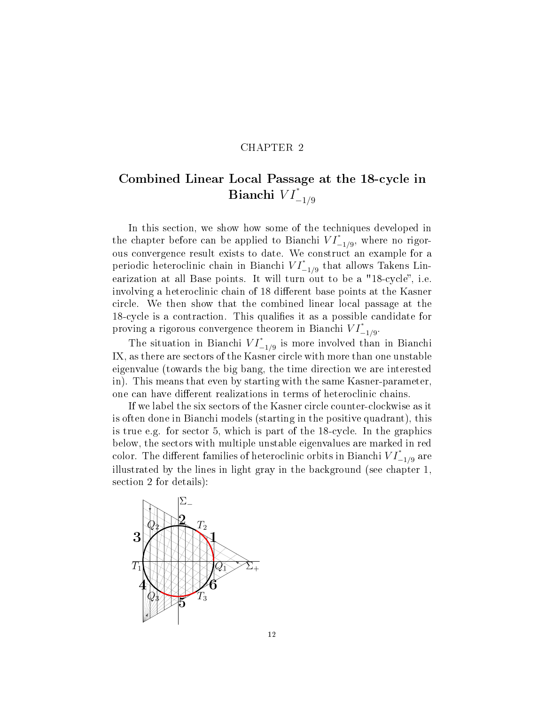### CHAPTER 2

## Combined Linear Local Passage at the 18-cycle in Bianchi  $VI^*_{-1/9}$

In this section, we show how some of the techniques developed in the chapter before can be applied to Bianchi  $VI^*_{-1/9}$ , where no rigorous convergence result exists to date. We construct an example for a periodic heteroclinic chain in Bianchi  $VI^*_{-1/9}$  that allows Takens Linearization at all Base points. It will turn out to be a "18-cycle", i.e. involving a heteroclinic chain of 18 different base points at the Kasner circle. We then show that the combined linear local passage at the 18-cycle is a contraction. This qualifies it as a possible candidate for proving a rigorous convergence theorem in Bianchi  $VI^*_{-1/9}$ .

The situation in Bianchi  $VI^*_{-1/9}$  is more involved than in Bianchi IX, as there are sectors of the Kasner circle with more than one unstable eigenvalue (towards the big bang, the time direction we are interested in). This means that even by starting with the same Kasner-parameter, one can have different realizations in terms of heteroclinic chains.

If we label the six sectors of the Kasner circle counter-clockwise as it is often done in Bianchi models (starting in the positive quadrant), this is true e.g. for sector 5, which is part of the 18-cycle. In the graphics below, the sectors with multiple unstable eigenvalues are marked in red color. The different families of heteroclinic orbits in Bianchi  $VI^*_{-1/9}$  are illustrated by the lines in light gray in the background (see chapter 1, section 2 for details):

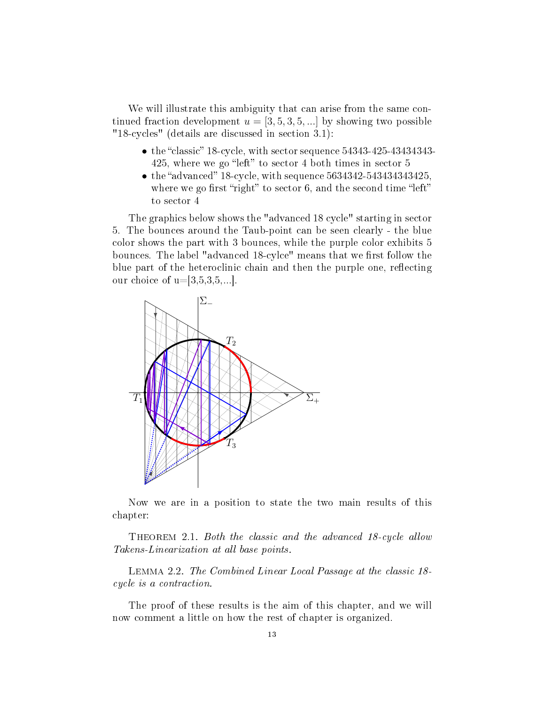We will illustrate this ambiguity that can arise from the same continued fraction development  $u = \begin{bmatrix} 3, 5, 3, 5, \dots \end{bmatrix}$  by showing two possible "18-cycles" (details are discussed in section 3.1):

- the "classic" 18-cycle, with sector sequence  $54343-425-43434343-$ 425, where we go "left" to sector 4 both times in sector  $5$
- $\bullet$  the "advanced" 18-cycle, with sequence 5634342-543434343425, where we go first "right" to sector 6, and the second time "left" to sector 4

The graphics below shows the "advanced 18 cycle" starting in sector 5. The bounces around the Taub-point can be seen clearly - the blue color shows the part with 3 bounces, while the purple color exhibits 5 bounces. The label "advanced 18-cylce" means that we first follow the blue part of the heteroclinic chain and then the purple one, reflecting our choice of  $u=[3,5,3,5,...]$ .



Now we are in a position to state the two main results of this chapter:

THEOREM 2.1. Both the classic and the advanced 18-cycle allow Takens-Linearization at all base points.

Lemma 2.2. The Combined Linear Local Passage at the classic 18 cycle is a contraction.

The proof of these results is the aim of this chapter, and we will now comment a little on how the rest of chapter is organized.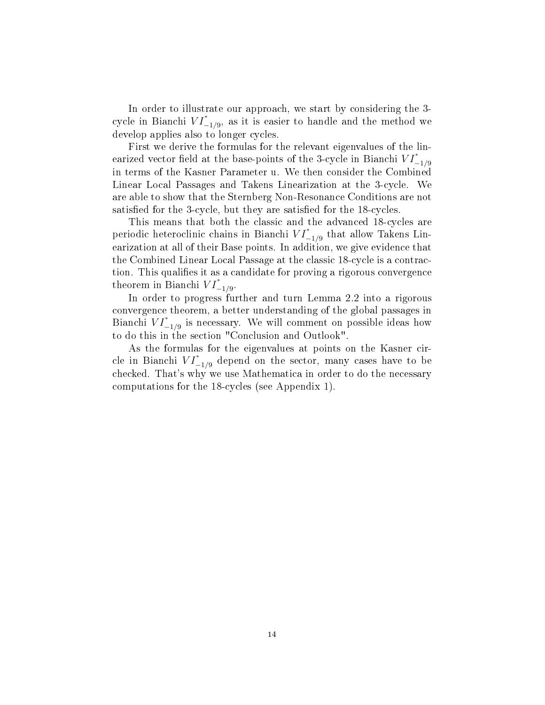In order to illustrate our approach, we start by considering the 3 cycle in Bianchi  $VI^*_{-1/9}$ , as it is easier to handle and the method we develop applies also to longer cycles.

First we derive the formulas for the relevant eigenvalues of the linearized vector field at the base-points of the 3-cycle in Bianchi  $VI^*_{-1/9}$ in terms of the Kasner Parameter u. We then consider the Combined Linear Local Passages and Takens Linearization at the 3-cycle. We are able to show that the Sternberg Non-Resonance Conditions are not satisfied for the 3-cycle, but they are satisfied for the 18-cycles.

This means that both the classic and the advanced 18-cycles are periodic heteroclinic chains in Bianchi  $VI^*_{-1/9}$  that allow Takens Linearization at all of their Base points. In addition, we give evidence that the Combined Linear Local Passage at the classic 18-cycle is a contraction. This qualifies it as a candidate for proving a rigorous convergence theorem in Bianchi  $VI^*_{-1/9}$ .

In order to progress further and turn Lemma 2.2 into a rigorous convergence theorem, a better understanding of the global passages in Bianchi  $VI^*_{-1/9}$  is necessary. We will comment on possible ideas how to do this in the section "Conclusion and Outlook".

As the formulas for the eigenvalues at points on the Kasner circle in Bianchi  $VI^*_{-1/9}$  depend on the sector, many cases have to be checked. That's why we use Mathematica in order to do the necessary computations for the 18-cycles (see Appendix 1).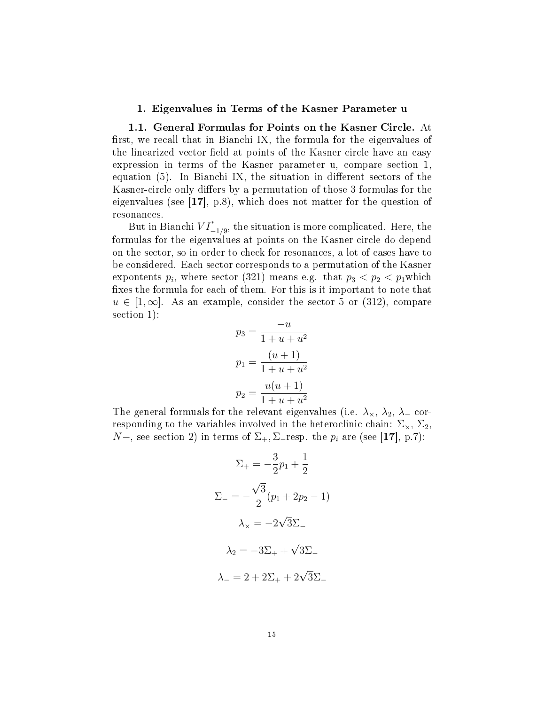#### 1. Eigenvalues in Terms of the Kasner Parameter u

1.1. General Formulas for Points on the Kasner Circle. At first, we recall that in Bianchi IX, the formula for the eigenvalues of the linearized vector field at points of the Kasner circle have an easy expression in terms of the Kasner parameter u, compare section 1, equation  $(5)$ . In Bianchi IX, the situation in different sectors of the Kasner-circle only differs by a permutation of those 3 formulas for the eigenvalues (see [17], p.8), which does not matter for the question of resonances.

But in Bianchi  $VI^*_{-1/9}$ , the situation is more complicated. Here, the formulas for the eigenvalues at points on the Kasner circle do depend on the sector, so in order to check for resonances, a lot of cases have to be considered. Each sector corresponds to a permutation of the Kasner expontents  $p_i$ , where sector (321) means e.g. that  $p_3 < p_2 < p_1$  which fixes the formula for each of them. For this is it important to note that  $u \in [1,\infty]$ . As an example, consider the sector 5 or (312), compare section 1):

$$
p_3 = \frac{-u}{1+u+u^2}
$$

$$
p_1 = \frac{(u+1)}{1+u+u^2}
$$

$$
p_2 = \frac{u(u+1)}{1+u+u^2}
$$

The general formuals for the relevant eigenvalues (i.e.  $\lambda_{\times}$ ,  $\lambda_{2}$ ,  $\lambda_{-}$  corresponding to the variables involved in the heteroclinic chain:  $\Sigma_{\times}$ ,  $\Sigma_{2}$ ,  $N-$ , see section 2) in terms of  $\Sigma_+$ ,  $\Sigma_-$ resp. the  $p_i$  are (see [17], p.7):

$$
\Sigma_{+} = -\frac{3}{2}p_1 + \frac{1}{2}
$$
  

$$
\Sigma_{-} = -\frac{\sqrt{3}}{2}(p_1 + 2p_2 - 1)
$$
  

$$
\lambda_{\times} = -2\sqrt{3}\Sigma_{-}
$$
  

$$
\lambda_{2} = -3\Sigma_{+} + \sqrt{3}\Sigma_{-}
$$
  

$$
\lambda_{-} = 2 + 2\Sigma_{+} + 2\sqrt{3}\Sigma_{-}
$$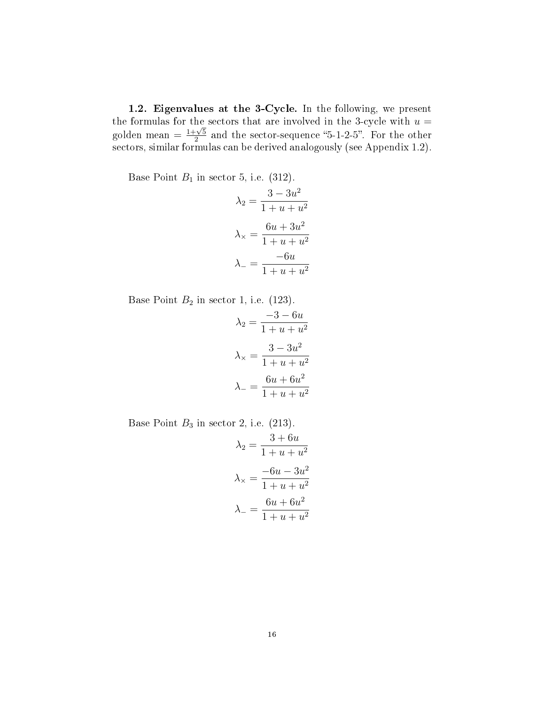1.2. Eigenvalues at the 3-Cycle. In the following, we present the formulas for the sectors that are involved in the 3-cycle with  $u =$ golden mean  $=\frac{1+\sqrt{5}}{2}$  $\frac{1-\sqrt{5}}{2}$  and the sector-sequence "5-1-2-5". For the other sectors, similar formulas can be derived analogously (see Appendix 1.2).

Base Point  $B_1$  in sector 5, i.e. (312).

$$
\lambda_2 = \frac{3 - 3u^2}{1 + u + u^2}
$$

$$
\lambda_{\times} = \frac{6u + 3u^2}{1 + u + u^2}
$$

$$
\lambda_{-} = \frac{-6u}{1 + u + u^2}
$$

Base Point  $B_2$  in sector 1, i.e. (123).

$$
\lambda_2 = \frac{-3 - 6u}{1 + u + u^2}
$$

$$
\lambda_{\times} = \frac{3 - 3u^2}{1 + u + u^2}
$$

$$
\lambda_{-} = \frac{6u + 6u^2}{1 + u + u^2}
$$

Base Point  $B_3$  in sector 2, i.e. (213).

$$
\lambda_2 = \frac{3 + 6u}{1 + u + u^2}
$$

$$
\lambda_{\times} = \frac{-6u - 3u^2}{1 + u + u^2}
$$

$$
\lambda_{-} = \frac{6u + 6u^2}{1 + u + u^2}
$$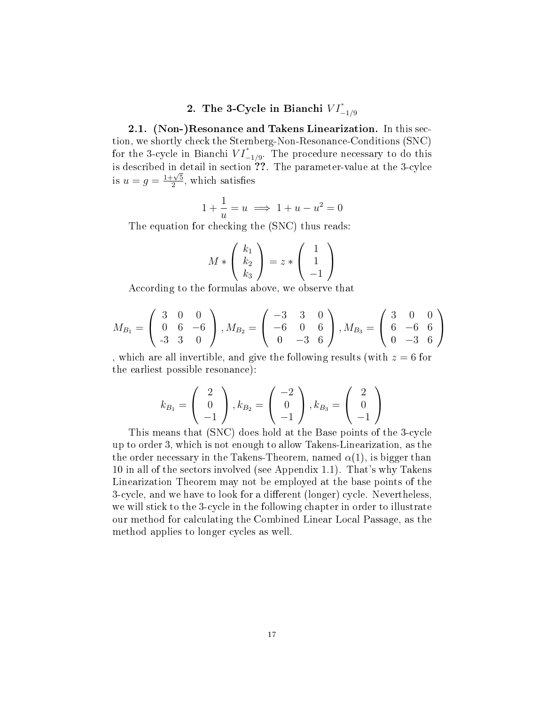### 2. The 3-Cycle in Bianchi  $VI^*_{-1/9}$

2.1. (Non-)Resonance and Takens Linearization. In this section, we shortly check the Sternberg-Non-Resonance-Conditions (SNC) for the 3-cycle in Bianchi  $VI^*_{-1/9}$ . The procedure necessary to do this is described in detail in section  $\overline{??}$ . The parameter-value at the 3-cylce is  $u = g = \frac{1 + \sqrt{5}}{2}$  $\frac{1}{2}$ , which satisfies

$$
1 + \frac{1}{u} = u \implies 1 + u - u^2 = 0
$$

The equation for checking the (SNC) thus reads:

$$
M * \left(\begin{array}{c} k_1 \\ k_2 \\ k_3 \end{array}\right) = z * \left(\begin{array}{c} 1 \\ 1 \\ -1 \end{array}\right)
$$

According to the formulas above, we observe that

$$
M_{B_1} = \begin{pmatrix} 3 & 0 & 0 \\ 0 & 6 & -6 \\ -3 & 3 & 0 \end{pmatrix}, M_{B_2} = \begin{pmatrix} -3 & 3 & 0 \\ -6 & 0 & 6 \\ 0 & -3 & 6 \end{pmatrix}, M_{B_3} = \begin{pmatrix} 3 & 0 & 0 \\ 6 & -6 & 6 \\ 0 & -3 & 6 \end{pmatrix}
$$

, which are all invertible, and give the following results (with  $z = 6$  for the earliest possible resonance):

$$
k_{B_1} = \begin{pmatrix} 2 \\ 0 \\ -1 \end{pmatrix}, k_{B_2} = \begin{pmatrix} -2 \\ 0 \\ -1 \end{pmatrix}, k_{B_3} = \begin{pmatrix} 2 \\ 0 \\ -1 \end{pmatrix}
$$

This means that (SNC) does hold at the Base points of the 3-cycle up to order 3, which is not enough to allow Takens-Linearization, as the the order necessary in the Takens-Theorem, named  $\alpha(1)$ , is bigger than 10 in all of the sectors involved (see Appendix 1.1). That's why Takens Linearization Theorem may not be employed at the base points of the 3-cycle, and we have to look for a different (longer) cycle. Nevertheless, we will stick to the 3-cycle in the following chapter in order to illustrate our method for calculating the Combined Linear Local Passage, as the method applies to longer cycles as well.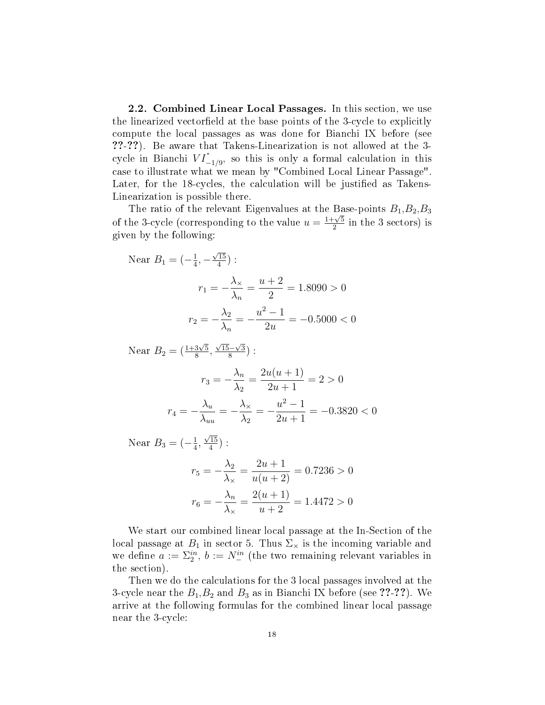2.2. Combined Linear Local Passages. In this section, we use the linearized vectorfield at the base points of the 3-cycle to explicitly compute the local passages as was done for Bianchi IX before (see ??-??). Be aware that Takens-Linearization is not allowed at the 3 cycle in Bianchi  $VI^*_{-1/9}$ , so this is only a formal calculation in this case to illustrate what we mean by "Combined Local Linear Passage". Later, for the 18-cycles, the calculation will be justified as Takens-Linearization is possible there.

The ratio of the relevant Eigenvalues at the Base-points  $B_1, B_2, B_3$ of the 3-cycle (corresponding to the value  $u = \frac{1+\sqrt{5}}{2}$  $\frac{\gamma}{2}$  in the 3 sectors) is given by the following:

Near 
$$
B_1 = \left(-\frac{1}{4}, -\frac{\sqrt{15}}{4}\right)
$$
:

\n
$$
r_1 = -\frac{\lambda_\times}{\lambda_n} = \frac{u+2}{2} = 1.8090 > 0
$$
\n
$$
r_2 = -\frac{\lambda_2}{\lambda_n} = -\frac{u^2 - 1}{2u} = -0.5000 < 0
$$

Near  $B_2 = (\frac{1+3\sqrt{5}}{8})$  $\frac{3\sqrt{5}}{8}$  $\sqrt{15}-\sqrt{3}$  $\frac{(-\sqrt{3})}{8}$  :

$$
r_3 = -\frac{\lambda_n}{\lambda_2} = \frac{2u(u+1)}{2u+1} = 2 > 0
$$

$$
r_4 = -\frac{\lambda_u}{\lambda_{uu}} = -\frac{\lambda_x}{\lambda_2} = -\frac{u^2 - 1}{2u + 1} = -0.3820 < 0
$$

Near  $B_3 = \left(-\frac{1}{4}\right)$  $\frac{1}{4}$ ,  $\sqrt{15}$  $\frac{15}{4})$  :

$$
r_5 = -\frac{\lambda_2}{\lambda_\times} = \frac{2u+1}{u(u+2)} = 0.7236 > 0
$$

$$
r_6 = -\frac{\lambda_n}{\lambda_\times} = \frac{2(u+1)}{u+2} = 1.4472 > 0
$$

We start our combined linear local passage at the In-Section of the local passage at  $B_1$  in sector 5. Thus  $\Sigma_{\times}$  is the incoming variable and we define  $a := \sum_{2}^{in}$ ,  $b := N_{-}^{in}$  (the two remaining relevant variables in the section).

Then we do the calculations for the 3 local passages involved at the 3-cycle near the  $B_1, B_2$  and  $B_3$  as in Bianchi IX before (see ??-??). We arrive at the following formulas for the combined linear local passage near the 3-cycle: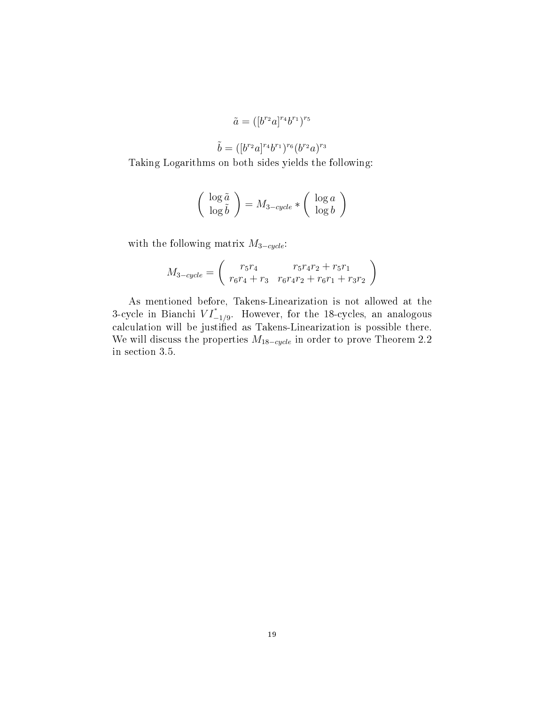$$
\tilde{a} = ([b^{r_2}a]^{r_4}b^{r_1})^{r_5}
$$

$$
\tilde{b} = ([b^{r_2}a]^{r_4}b^{r_1})^{r_6}(b^{r_2}a)^{r_3}
$$

Taking Logarithms on both sides yields the following:

$$
\left(\begin{array}{c}\log \tilde{a} \\ \log \tilde{b}\end{array}\right) = M_{3-cycle} * \left(\begin{array}{c}\log a \\ \log b\end{array}\right)
$$

with the following matrix  $M_{3-cycle}$ :

$$
M_{3-cycle} = \begin{pmatrix} r_5r_4 & r_5r_4r_2 + r_5r_1 \ r_6r_4 + r_3 & r_6r_4r_2 + r_6r_1 + r_3r_2 \end{pmatrix}
$$

As mentioned before, Takens-Linearization is not allowed at the 3-cycle in Bianchi  $VI^*_{-1/9}$ . However, for the 18-cycles, an analogous calculation will be justified as Takens-Linearization is possible there. We will discuss the properties  $M_{18-cycle}$  in order to prove Theorem 2.2 in section 3.5.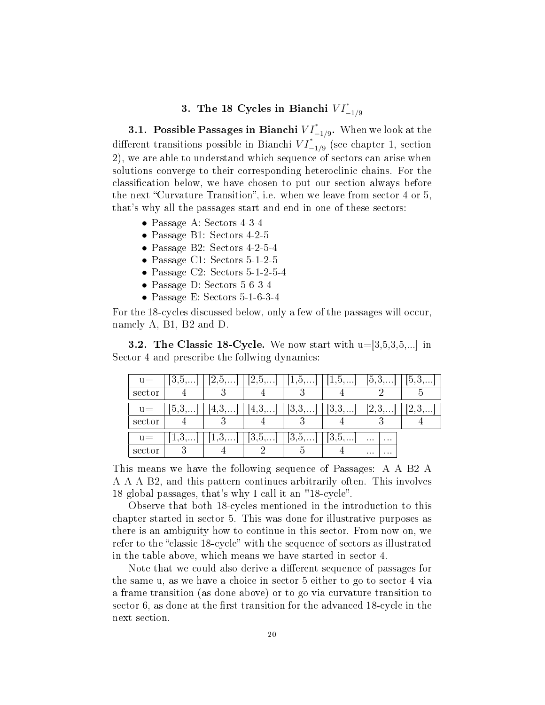### 3. The 18 Cycles in Bianchi  $VI^*_{-1/9}$

**3.1.** Possible Passages in Bianchi  $VI^*_{-1/9}$ . When we look at the different transitions possible in Bianchi  $VI^*_{-1/9}$  (see chapter 1, section 2), we are able to understand which sequence of sectors can arise when solutions converge to their corresponding heteroclinic chains. For the classification below, we have chosen to put our section always before the next "Curvature Transition", i.e. when we leave from sector  $4$  or  $5$ , that's why all the passages start and end in one of these sectors:

- Passage A: Sectors 4-3-4
- Passage B1: Sectors 4-2-5
- Passage B2: Sectors 4-2-5-4
- Passage C1: Sectors 5-1-2-5
- Passage C2: Sectors 5-1-2-5-4
- Passage D: Sectors 5-6-3-4
- Passage E: Sectors 5-1-6-3-4

For the 18-cycles discussed below, only a few of the passages will occur, namely A, B1, B2 and D.

**3.2. The Classic 18-Cycle.** We now start with  $u=3,5,3,5,...$  in Sector 4 and prescribe the follwing dynamics:

| $u =$  | $15, 0, \ldots$ | $\angle$ , $\cup$ , | 2,5,            | $\perp$ , $\cup$ , $\ldots$ | $1, 0, \ldots$ | 0,3,                 | 5.3  |
|--------|-----------------|---------------------|-----------------|-----------------------------|----------------|----------------------|------|
| sector |                 |                     |                 |                             |                |                      |      |
| $u=$   | $5.3\dots$      | 4,3,                | 4.5<br>$\cdots$ | [3,3,]                      | 13,3,          | 2,3,                 | 2,3, |
| sector |                 |                     |                 |                             |                |                      |      |
| $u =$  | $1,0, \ldots$   | $1,0,\ldots$        | 3.5<br>         | [3,5,]                      | 3,5,           | $\cdots$<br>$\cdots$ |      |
| sector |                 |                     |                 |                             |                | $\cdots$<br>$\cdots$ |      |

This means we have the following sequence of Passages: A A B2 A A A A B2, and this pattern continues arbitrarily often. This involves 18 global passages, that's why I call it an "18-cycle.

Observe that both 18-cycles mentioned in the introduction to this chapter started in sector 5. This was done for illustrative purposes as there is an ambiguity how to continue in this sector. From now on, we refer to the "classic 18-cycle" with the sequence of sectors as illustrated in the table above, which means we have started in sector 4.

Note that we could also derive a different sequence of passages for the same u, as we have a choice in sector 5 either to go to sector 4 via a frame transition (as done above) or to go via curvature transition to sector  $6$ , as done at the first transition for the advanced 18-cycle in the next section.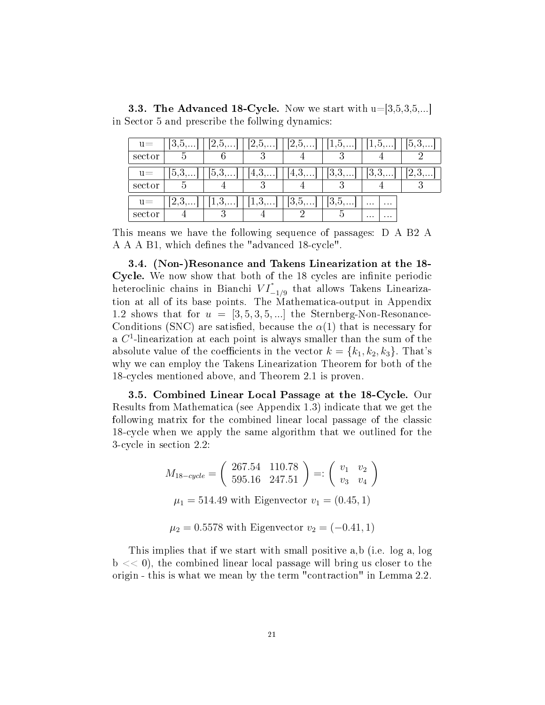in Sector 5 and prescribe the follwing dynamics:  $\boxed{u}$  = [3,5,...] [2,5,...] [2,5,...] [2,5,...] [1,5,...] [1,5,...] [5,3]

**3.3. The Advanced 18-Cycle.** Now we start with  $u=[3,5,3,5,...]$ 

| $u -$  | 10.0        | $\omega, \omega, \dots$ | $\omega, \omega, \ldots$ | $\overline{a}$ , $\overline{b}$ , $\overline{b}$ , $\overline{c}$ | $1, 0, \ldots$ | $1, 0, \dots$        | $\cup$ , $\cup$ , $\ldots$ |
|--------|-------------|-------------------------|--------------------------|-------------------------------------------------------------------|----------------|----------------------|----------------------------|
| sector |             |                         |                          |                                                                   |                |                      |                            |
| $u =$  | $\vert 5.3$ | 15.3<br>$\cdots$        | 4, 0,                    | 14, 3,                                                            | 13.3<br>. 1    | lð.<br>.             | 2,3,                       |
| sector |             |                         |                          |                                                                   |                |                      |                            |
| $u =$  | 2.3         | $1,0, \ldots$           | .<br>ᅩ                   | $ 0, 0, \ldots $                                                  | 13, 5,         | $\cdots$<br>$\cdots$ |                            |
| sector |             |                         |                          |                                                                   |                | $\cdots$<br>$\cdots$ |                            |

This means we have the following sequence of passages: D A B2 A A A A B1, which defines the "advanced 18-cycle".

3.4. (Non-)Resonance and Takens Linearization at the 18- Cycle. We now show that both of the 18 cycles are infinite periodic heteroclinic chains in Bianchi  $VI^*_{-1/9}$  that allows Takens Linearization at all of its base points. The Mathematica-output in Appendix 1.2 shows that for  $u = [3, 5, 3, 5, \ldots]$  the Sternberg-Non-Resonance-Conditions (SNC) are satisfied, because the  $\alpha(1)$  that is necessary for a  $C<sup>1</sup>$ -linearization at each point is always smaller than the sum of the absolute value of the coefficients in the vector  $k = \{k_1, k_2, k_3\}$ . That's why we can employ the Takens Linearization Theorem for both of the 18-cycles mentioned above, and Theorem 2.1 is proven.

3.5. Combined Linear Local Passage at the 18-Cycle. Our Results from Mathematica (see Appendix 1.3) indicate that we get the following matrix for the combined linear local passage of the classic 18-cycle when we apply the same algorithm that we outlined for the 3-cycle in section 2.2:

$$
M_{18-cycle} = \begin{pmatrix} 267.54 & 110.78 \\ 595.16 & 247.51 \end{pmatrix} =: \begin{pmatrix} v_1 & v_2 \\ v_3 & v_4 \end{pmatrix}
$$

$$
\mu_1 = 514.49 \text{ with Eigenvector } v_1 = (0.45, 1)
$$

 $\mu_2 = 0.5578$  with Eigenvector  $v_2 = (-0.41, 1)$ 

This implies that if we start with small positive a,b (i.e. log a, log  $b \ll 0$ , the combined linear local passage will bring us closer to the origin - this is what we mean by the term "contraction" in Lemma 2.2.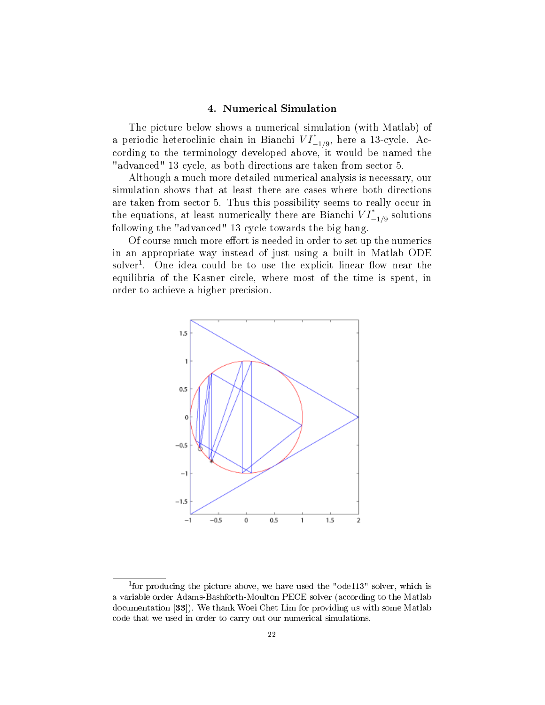#### 4. Numerical Simulation

The picture below shows a numerical simulation (with Matlab) of a periodic heteroclinic chain in Bianchi  $VI^*_{-1/9}$ , here a 13-cycle. According to the terminology developed above, it would be named the "advanced" 13 cycle, as both directions are taken from sector 5.

Although a much more detailed numerical analysis is necessary, our simulation shows that at least there are cases where both directions are taken from sector 5. Thus this possibility seems to really occur in the equations, at least numerically there are Bianchi  $VI^*_{-1/9}$ -solutions following the "advanced" 13 cycle towards the big bang.

Of course much more effort is needed in order to set up the numerics in an appropriate way instead of just using a built-in Matlab ODE solver<sup>1</sup>. One idea could be to use the explicit linear flow near the equilibria of the Kasner circle, where most of the time is spent, in order to achieve a higher precision.



<sup>&</sup>lt;sup>1</sup>for producing the picture above, we have used the "ode113" solver, which is a variable order Adams-Bashforth-Moulton PECE solver (according to the Matlab documentation [33]). We thank Woei Chet Lim for providing us with some Matlab code that we used in order to carry out our numerical simulations.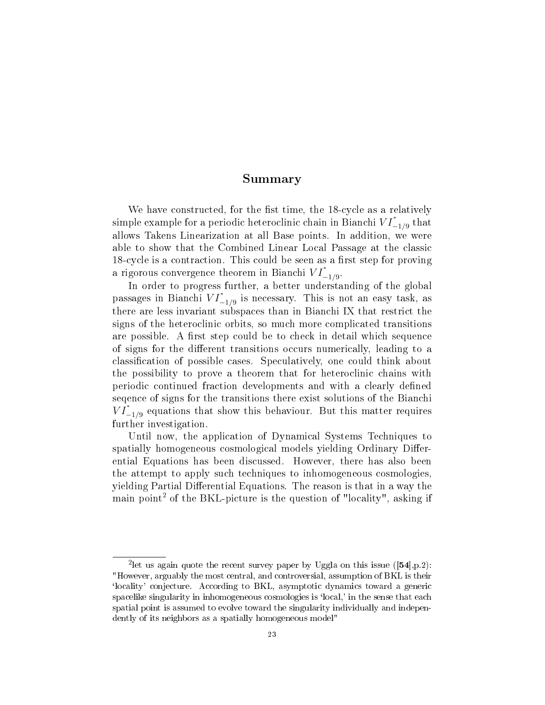#### Summary

We have constructed, for the fist time, the 18-cycle as a relatively simple example for a periodic heteroclinic chain in Bianchi  $VI^*_{-1/9}$  that allows Takens Linearization at all Base points. In addition, we were able to show that the Combined Linear Local Passage at the classic 18-cycle is a contraction. This could be seen as a first step for proving a rigorous convergence theorem in Bianchi  $VI^*_{-1/9}$ .

In order to progress further, a better understanding of the global passages in Bianchi  $VI^*_{-1/9}$  is necessary. This is not an easy task, as there are less invariant subspaces than in Bianchi IX that restrict the signs of the heteroclinic orbits, so much more complicated transitions are possible. A first step could be to check in detail which sequence of signs for the different transitions occurs numerically, leading to a classification of possible cases. Speculatively, one could think about the possibility to prove a theorem that for heteroclinic chains with periodic continued fraction developments and with a clearly defined seqence of signs for the transitions there exist solutions of the Bianchi  $V I_{-1/9}^*$  equations that show this behaviour. But this matter requires further investigation.

Until now, the application of Dynamical Systems Techniques to spatially homogeneous cosmological models yielding Ordinary Differential Equations has been discussed. However, there has also been the attempt to apply such techniques to inhomogeneous cosmologies, yielding Partial Differential Equations. The reason is that in a way the main point<sup>2</sup> of the BKL-picture is the question of "locality", asking if

<sup>&</sup>lt;sup>2</sup> let us again quote the recent survey paper by Uggla on this issue  $(54]$ , p.2): "However, arguably the most central, and controversial, assumption of BKL is their `locality' conjecture. According to BKL, asymptotic dynamics toward a generic spacelike singularity in inhomogeneous cosmologies is 'local,' in the sense that each spatial point is assumed to evolve toward the singularity individually and independently of its neighbors as a spatially homogeneous model"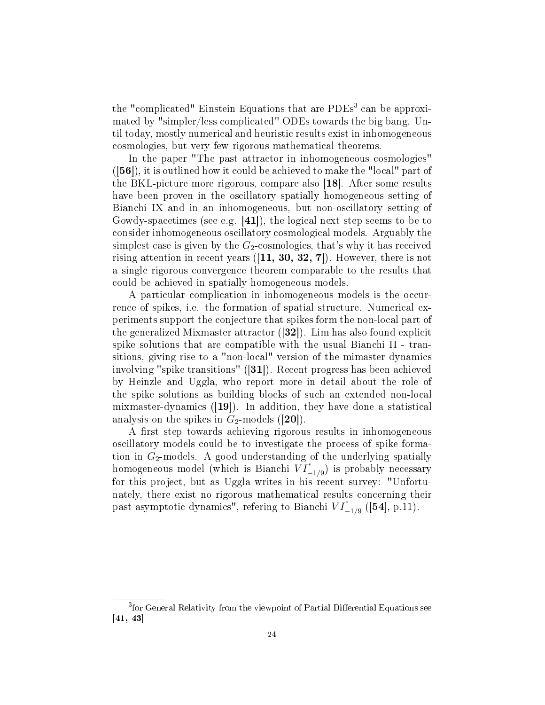the "complicated" Einstein Equations that are PDEs<sup>3</sup> can be approximated by "simpler/less complicated" ODEs towards the big bang. Until today, mostly numerical and heuristic results exist in inhomogeneous cosmologies, but very few rigorous mathematical theorems.

In the paper "The past attractor in inhomogeneous cosmologies"  $([56])$ , it is outlined how it could be achieved to make the "local" part of the BKL-picture more rigorous, compare also [18]. After some results have been proven in the oscillatory spatially homogeneous setting of Bianchi IX and in an inhomogeneous, but non-oscillatory setting of Gowdy-spacetimes (see e.g. [41]), the logical next step seems to be to consider inhomogeneous oscillatory cosmological models. Arguably the simplest case is given by the  $G_2$ -cosmologies, that's why it has received rising attention in recent years  $([11, 30, 32, 7])$ . However, there is not a single rigorous convergence theorem comparable to the results that could be achieved in spatially homogeneous models.

A particular complication in inhomogeneous models is the occurrence of spikes, i.e. the formation of spatial structure. Numerical experiments support the conjecture that spikes form the non-local part of the generalized Mixmaster attractor ([32]). Lim has also found explicit spike solutions that are compatible with the usual Bianchi II - transitions, giving rise to a "non-local" version of the mimaster dynamics involving "spike transitions" ([31]). Recent progress has been achieved by Heinzle and Uggla, who report more in detail about the role of the spike solutions as building blocks of such an extended non-local mixmaster-dynamics ([19]). In addition, they have done a statistical analysis on the spikes in  $G_2$ -models ([20]).

A first step towards achieving rigorous results in inhomogeneous oscillatory models could be to investigate the process of spike formation in  $G_2$ -models. A good understanding of the underlying spatially homogeneous model (which is Bianchi  $\tilde{VI}_{-1/9}^*$ ) is probably necessary for this project, but as Uggla writes in his recent survey: "Unfortunately, there exist no rigorous mathematical results concerning their past asymptotic dynamics", refering to Bianchi  $VI^*_{-1/9}$  ([54], p.11).

<sup>&</sup>lt;sup>3</sup> for General Relativity from the viewpoint of Partial Differential Equations see [41, 43]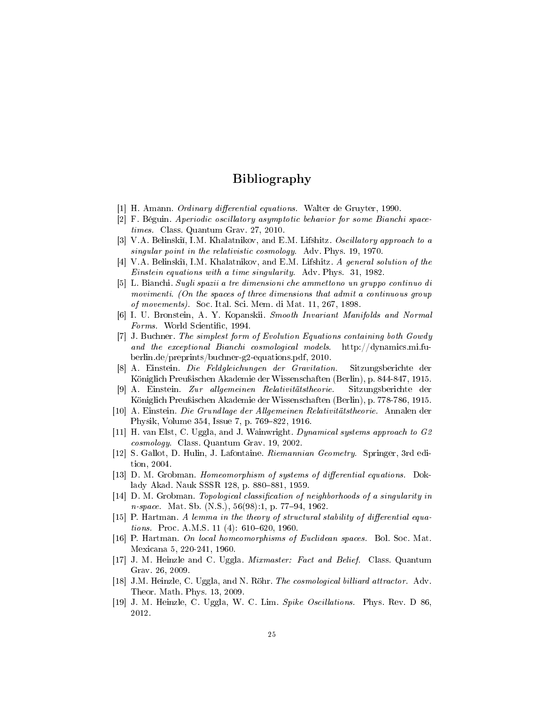### Bibliography

- [1] H. Amann. *Ordinary differential equations*. Walter de Gruyter, 1990.
- [2] F. Béguin. Aperiodic oscillatory asymptotic behavior for some Bianchi spacetimes. Class. Quantum Grav. 27, 2010.
- [3] V.A. Belinski, I.M. Khalatnikov, and E.M. Lifshitz. Oscillatory approach to a singular point in the relativistic cosmology. Adv. Phys. 19, 1970.
- [4] V.A. Belinski, I.M. Khalatnikov, and E.M. Lifshitz. A general solution of the Einstein equations with a time singularity. Adv. Phys. 31, 1982.
- [5] L. Bianchi. Sugli spazii a tre dimensioni che ammettono un gruppo continuo di movimenti. (On the spaces of three dimensions that admit a continuous group of movements). Soc. Ital. Sci. Mem. di Mat. 11, 267, 1898.
- [6] I. U. Bronstein, A. Y. Kopanskii. Smooth Invariant Manifolds and Normal Forms. World Scientific, 1994.
- [7] J. Buchner. The simplest form of Evolution Equations containing both Gowdy and the exceptional Bianchi cosmological models. http://dynamics.mi.fuberlin.de/preprints/buchner-g2-equations.pdf, 2010.
- [8] A. Einstein. Die Feldgleichungen der Gravitation. Sitzungsberichte der Königlich Preußischen Akademie der Wissenschaften (Berlin), p. 844-847, 1915.
- [9] A. Einstein. Zur allgemeinen Relativitätstheorie. Sitzungsberichte der Königlich Preußischen Akademie der Wissenschaften (Berlin), p. 778-786, 1915.
- [10] A. Einstein. Die Grundlage der Allgemeinen Relativitätstheorie. Annalen der Physik, Volume 354, Issue 7, p. 769-822, 1916.
- [11] H. van Elst, C. Uggla, and J. Wainwright. Dynamical systems approach to G2 cosmology. Class. Quantum Grav. 19, 2002.
- [12] S. Gallot, D. Hulin, J. Lafontaine. Riemannian Geometry. Springer, 3rd edition, 2004.
- [13] D. M. Grobman. Homeomorphism of systems of differential equations. Doklady Akad. Nauk SSSR 128, p. 880-881, 1959.
- [14] D. M. Grobman. Topological classification of neighborhoods of a singularity in  $n\text{-}space.$  Mat. Sb. (N.S.),  $56(98):1$ , p. 77-94, 1962.
- $[15]$  P. Hartman. A lemma in the theory of structural stability of differential equations. Proc. A.M.S. 11 (4):  $610-620$ , 1960.
- [16] P. Hartman. On local homeomorphisms of Euclidean spaces. Bol. Soc. Mat. Mexicana 5, 220-241, 1960.
- [17] J. M. Heinzle and C. Uggla. Mixmaster: Fact and Belief. Class. Quantum Grav. 26, 2009.
- [18] J.M. Heinzle, C. Uggla, and N. Röhr. The cosmological billiard attractor. Adv. Theor. Math. Phys. 13, 2009.
- [19] J. M. Heinzle, C. Uggla, W. C. Lim. Spike Oscillations. Phys. Rev. D 86, 2012.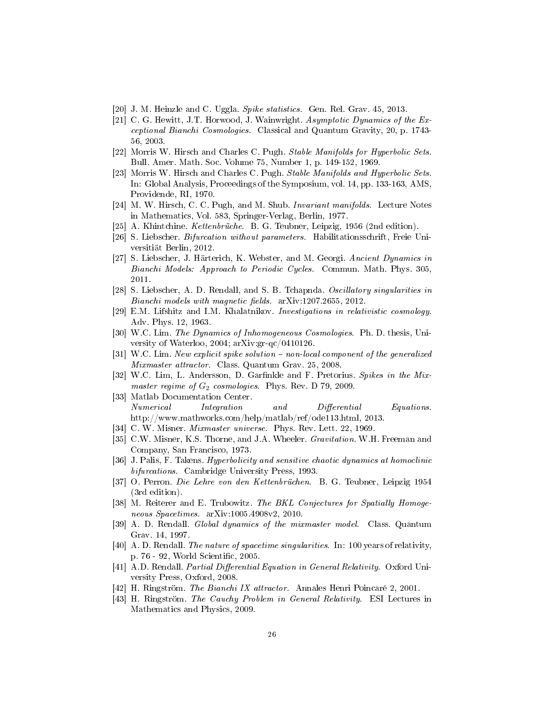- [20] J. M. Heinzle and C. Uggla. Spike statistics. Gen. Rel. Grav. 45, 2013.
- [21] C. G. Hewitt, J.T. Horwood, J. Wainwright. Asymptotic Dynamics of the Exceptional Bianchi Cosmologies. Classical and Quantum Gravity, 20, p. 1743- 56, 2003.
- [22] Morris W. Hirsch and Charles C. Pugh. Stable Manifolds for Hyperbolic Sets. Bull. Amer. Math. Soc. Volume 75, Number 1, p. 149-152, 1969.
- [23] Morris W. Hirsch and Charles C. Pugh. *Stable Manifolds and Hyperbolic Sets.* In: Global Analysis, Proceedings of the Symposium, vol. 14, pp. 133-163, AMS, Providende, RI, 1970.
- [24] M. W. Hirsch, C. C. Pugh, and M. Shub. Invariant manifolds. Lecture Notes in Mathematics, Vol. 583, Springer-Verlag, Berlin, 1977.
- [25] A. Khintchine. Kettenbrüche. B. G. Teubner, Leipzig, 1956 (2nd edition).
- [26] S. Liebscher. Bifurcation without parameters. Habilitationsschrift, Freie Universitiät Berlin, 2012.
- [27] S. Liebscher, J. Härterich, K. Webster, and M. Georgi. Ancient Dynamics in Bianchi Models: Approach to Periodic Cycles. Commun. Math. Phys. 305, 2011.
- [28] S. Liebscher, A. D. Rendall, and S. B. Tchapnda. Oscillatory singularities in  $Bianchi$  models with magnetic fields.  $arXiv:1207.2655$ , 2012.
- [29] E.M. Lifshitz and I.M. Khalatnikov. Investigations in relativistic cosmology. Adv. Phys. 12, 1963.
- [30] W.C. Lim. The Dynamics of Inhomogeneous Cosmologies. Ph. D. thesis, University of Waterloo, 2004; arXiv:gr-qc/0410126.
- $[31]$  W.C. Lim. New explicit spike solution  $-$  non-local component of the generalized Mixmaster attractor. Class. Quantum Grav. 25, 2008.
- [32] W.C. Lim, L. Andersson, D. Garfinkle and F. Pretorius. Spikes in the Mixmaster regime of  $G_2$  cosmologies. Phys. Rev. D 79, 2009.
- [33] Matlab Documentation Center. Numerical Integration and Differential Equations. http://www.mathworks.com/help/matlab/ref/ode113.html, 2013.
- [34] C. W. Misner. *Mixmaster universe.* Phys. Rev. Lett. 22, 1969.
- [35] C.W. Misner, K.S. Thorne, and J.A. Wheeler. Gravitation. W.H. Freeman and Company, San Francisco, 1973.
- [36] J. Palis, F. Takens. Hyperbolicity and sensitive chaotic dynamics at homoclinic bifurcations. Cambridge University Press, 1993.
- [37] O. Perron. Die Lehre von den Kettenbrüchen. B. G. Teubner, Leipzig 1954 (3rd edition).
- [38] M. Reiterer and E. Trubowitz. The BKL Conjectures for Spatially Homogeneous Spacetimes. arXiv:1005.4908v2, 2010.
- [39] A. D. Rendall. Global dynamics of the mixmaster model. Class. Quantum Grav. 14, 1997.
- [40] A. D. Rendall. The nature of spacetime singularities. In: 100 years of relativity, p. 76 - 92, World Scientific, 2005.
- [41] A.D. Rendall. Partial Differential Equation in General Relativity. Oxford University Press, Oxford, 2008.
- [42] H. Ringström. The Bianchi IX attractor. Annales Henri Poincaré 2, 2001.
- [43] H. Ringström. The Cauchy Problem in General Relativity. ESI Lectures in Mathematics and Physics, 2009.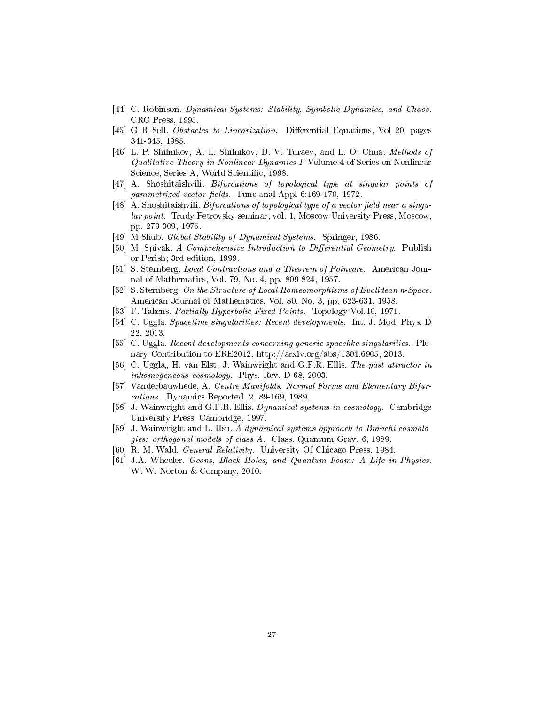- [44] C. Robinson. Dynamical Systems: Stability, Symbolic Dynamics, and Chaos. CRC Press, 1995.
- [45] G R Sell. Obstacles to Linearization. Differential Equations, Vol 20, pages 341-345, 1985.
- [46] L. P. Shilnikov, A. L. Shilnikov, D. V. Turaev, and L. O. Chua. Methods of Qualitative Theory in Nonlinear Dynamics I. Volume 4 of Series on Nonlinear Science, Series A, World Scientific, 1998.
- [47] A. Shoshitaishvili. Bifurcations of topological type at singular points of parametrized vector fields. Func anal Appl  $6:169-170$ , 1972.
- [48] A. Shoshitaishvili. Bifurcations of topological type of a vector field near a singular point. Trudy Petrovsky seminar, vol. 1, Moscow University Press, Moscow, pp. 279-309, 1975.
- [49] M.Shub. Global Stability of Dynamical Systems. Springer, 1986.
- [50] M. Spivak. A Comprehensive Introduction to Differential Geometry. Publish or Perish; 3rd edition, 1999.
- [51] S. Sternberg. Local Contractions and a Theorem of Poincare. American Journal of Mathematics, Vol. 79, No. 4, pp. 809-824, 1957.
- [52] S. Sternberg. On the Structure of Local Homeomorphisms of Euclidean n-Space. American Journal of Mathematics, Vol. 80, No. 3, pp. 623-631, 1958.
- [53] F. Takens. Partially Hyperbolic Fixed Points. Topology Vol.10, 1971.
- [54] C. Uggla. Spacetime singularities: Recent developments. Int. J. Mod. Phys. D 22, 2013.
- [55] C. Uggla. Recent developments concerning generic spacelike singularities. Plenary Contribution to ERE2012, http://arxiv.org/abs/1304.6905, 2013.
- [56] C. Uggla,, H. van Elst, J. Wainwright and G.F.R. Ellis. The past attractor in inhomogeneous cosmology. Phys. Rev. D 68, 2003.
- [57] Vanderbauwhede, A. Centre Manifolds, Normal Forms and Elementary Bifurcations. Dynamics Reported, 2, 89-169, 1989.
- [58] J. Wainwright and G.F.R. Ellis. Dynamical systems in cosmology. Cambridge University Press, Cambridge, 1997.
- [59] J. Wainwright and L. Hsu. A dynamical systems approach to Bianchi cosmologies: orthogonal models of class A. Class. Quantum Grav. 6, 1989.
- [60] R. M. Wald. General Relativity. University Of Chicago Press, 1984.
- [61] J.A. Wheeler. Geons, Black Holes, and Quantum Foam: A Life in Physics. W. W. Norton & Company, 2010.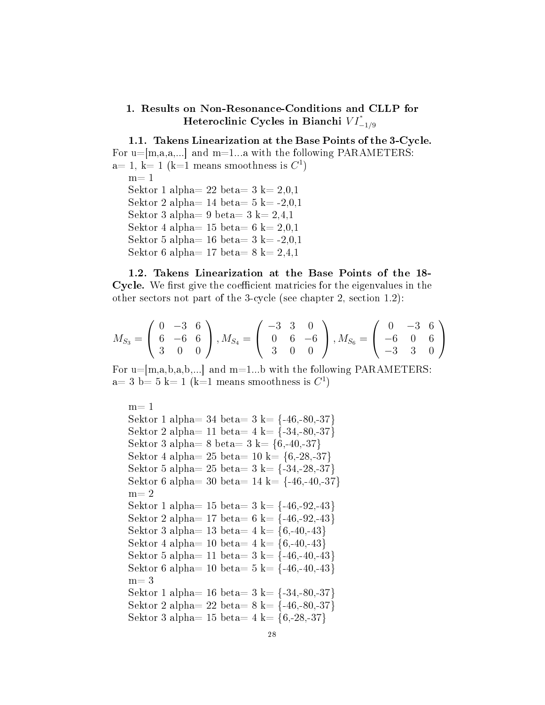### 1. Results on Non-Resonance-Conditions and CLLP for Heteroclinic Cycles in Bianchi  $VI^*_{-1/9}$

1.1. Takens Linearization at the Base Points of the 3-Cycle. For  $u=[m,a,a,...]$  and  $m=1...a$  with the following PARAMETERS:  $a= 1, k= 1$  (k=1 means smoothness is  $C<sup>1</sup>$ )  $m=1$ Sektor 1 alpha= 22 beta=  $3 k= 2,0,1$ Sektor 2 alpha=  $14$  beta=  $5$  k=  $-2,0,1$ Sektor 3 alpha= 9 beta= 3 k=  $2,4,1$ Sektor 4 alpha= 15 beta= 6 k=  $2,0,1$ Sektor 5 alpha= 16 beta=  $3 \text{ k} = -2,0,1$ Sektor 6 alpha= 17 beta=  $8 \text{ k} = 2,4,1$ 

1.2. Takens Linearization at the Base Points of the 18- Cycle. We first give the coefficient matricies for the eigenvalues in the other sectors not part of the 3-cycle (see chapter 2, section 1.2):

$$
M_{S_3} = \begin{pmatrix} 0 & -3 & 6 \\ 6 & -6 & 6 \\ 3 & 0 & 0 \end{pmatrix}, M_{S_4} = \begin{pmatrix} -3 & 3 & 0 \\ 0 & 6 & -6 \\ 3 & 0 & 0 \end{pmatrix}, M_{S_6} = \begin{pmatrix} 0 & -3 & 6 \\ -6 & 0 & 6 \\ -3 & 3 & 0 \end{pmatrix}
$$

For  $u=[m,a,b,a,b,...]$  and  $m=1...b$  with the following PARAMETERS:  $a=3$  b= 5 k= 1 (k=1 means smoothness is  $C<sup>1</sup>$ )

 $m=1$ Sektor 1 alpha= 34 beta=  $3 \text{ k} = \{-46, -80, -37\}$ Sektor 2 alpha= 11 beta=  $4 \text{ k} = \{-34, -80, -37\}$ Sektor 3 alpha= 8 beta=  $3 \text{ k} = \{6, -40, -37\}$ Sektor 4 alpha=  $25$  beta=  $10 \text{ k} = \{6, -28, -37\}$ Sektor 5 alpha= 25 beta=  $3 \text{ k} = \{-34,-28,-37\}$ Sektor 6 alpha= 30 beta=  $14 \text{ k} = \{-46, -40, -37\}$  $m=2$ Sektor 1 alpha= 15 beta=  $3 \text{ k} = \{-46, -92, -43\}$ Sektor 2 alpha= 17 beta= 6 k=  $\{-46, -92, -43\}$ Sektor 3 alpha= 13 beta=  $4 \text{ k} = \{6, -40, -43\}$ Sektor 4 alpha= 10 beta=  $4 \text{ k} = \{6, -40, -43\}$ Sektor 5 alpha= 11 beta=  $3 \text{ k} = \{-46, -40, -43\}$ Sektor 6 alpha= 10 beta=  $5 \text{ k} = \{-46, -40, -43\}$  $m=3$ Sektor 1 alpha= 16 beta=  $3 \text{ k} = \{-34, -80, -37\}$ Sektor 2 alpha= 22 beta=  $8 \text{ k} = \{-46, -80, -37\}$ Sektor 3 alpha= 15 beta=  $4 \text{ k} = \{6, -28, -37\}$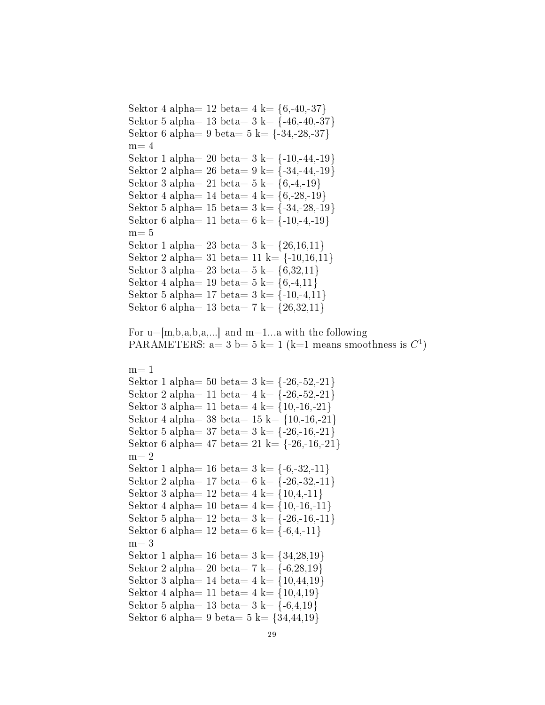```
Sektor 4 alpha= 12 beta= 4 \text{ k} = \{6, -40, -37\}Sektor 5 alpha= 13 beta= 3 \text{ k} = \{-46, -40, -37\}Sektor 6 alpha= 9 beta= 5 \text{ k} = \{-34, -28, -37\}m=4Sektor 1 alpha= 20 beta= 3 \text{ k} = \{-10,-44,-19\}Sektor 2 alpha= 26 beta= 9 \text{ k} = \{-34,-44,-19\}Sektor 3 alpha= 21 beta= 5 \text{ k} = \{6, -4, -19\}Sektor 4 alpha= 14 beta= 4 \text{ k} = \{6, -28, -19\}Sektor 5 alpha= 15 beta= 3 \text{ k} = \{-34,-28,-19\}Sektor 6 alpha= 11 beta= 6 k= \{-10,-4,-19\}m=5Sektor 1 alpha= 23 beta= 3 \text{ k} = \{26, 16, 11\}Sektor 2 alpha= 31 beta= 11 \text{ k} = \{-10, 16, 11\}Sektor 3 alpha= 23 beta= 5 \text{ k} = \{6, 32, 11\}Sektor 4 alpha= 19 beta= 5 \text{ k} = \{6, -4, 11\}Sektor 5 alpha= 17 beta= 3 \text{ k} = \{-10,-4,11\}Sektor 6 alpha= 13 beta= 7 k= \{26,32,11\}For u=[m,b,a,b,a,...] and m=1...a with the following
PARAMETERS: a= 3 b= 5 k= 1 (k=1 means smoothness is C<sup>1</sup>)
m=1Sektor 1 alpha= 50 beta= 3 \text{ k} = \{-26, -52, -21\}Sektor 2 alpha= 11 beta= 4 \text{ k} = \{-26, -52, -21\}Sektor 3 alpha= 11 beta= 4 \text{ k} = \{10, -16, -21\}Sektor 4 alpha= 38 beta= 15 \text{ k} = \{10, -16, -21\}Sektor 5 alpha= 37 beta= 3 \text{ k} = \{-26, -16, -21\}Sektor 6 alpha= 47 beta= 21 \text{ k} = \{-26, -16, -21\}m=2Sektor 1 alpha= 16 beta= 3 \text{ k} = \{-6, -32, -11\}Sektor 2 alpha= 17 beta= 6 \text{ k} = \{-26, -32, -11\}Sektor 3 alpha= 12 \text{ beta} = 4 \text{ k} = \{10, 4, -11\}Sektor 4 alpha= 10 beta= 4 \text{ k} = \{10, -16, -11\}Sektor 5 alpha= 12 beta= 3 \text{ k} = \{-26, -16, -11\}Sektor 6 alpha= 12 \text{ beta} = 6 \text{ k} = \{-6, 4, -11\}m=3Sektor 1 alpha= 16 beta= 3 \text{ k} = \{34,28,19\}Sektor 2 alpha= 20 beta= 7 k= \{-6,28,19\}Sektor 3 alpha= 14 beta= 4 \text{ k} = \{10, 44, 19\}Sektor 4 alpha= 11 beta= 4 \text{ k} = \{10,4,19\}Sektor 5 alpha= 13 beta= 3 \text{ k} = \{-6, 4, 19\}Sektor 6 alpha= 9 beta= 5 \text{ k} = \{34, 44, 19\}
```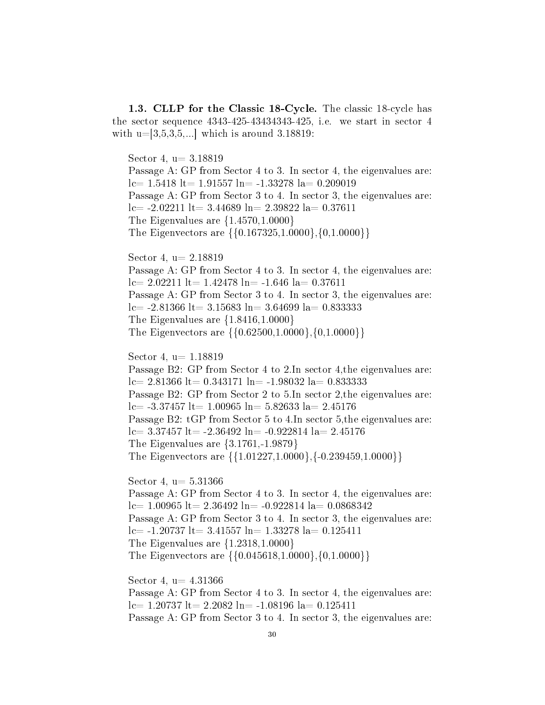1.3. CLLP for the Classic 18-Cycle. The classic 18-cycle has the sector sequence 4343-425-43434343-425, i.e. we start in sector 4 with  $u=3,5,3,5,...$  which is around 3.18819:

Sector 4, u= 3.18819 Passage A: GP from Sector 4 to 3. In sector 4, the eigenvalues are:  $l = 1.5418$   $lt = 1.91557$   $ln = -1.33278$   $la = 0.209019$ Passage A: GP from Sector 3 to 4. In sector 3, the eigenvalues are:  $lc= -2.02211$   $lt= 3.44689$   $ln= 2.39822$   $la= 0.37611$ The Eigenvalues are {1.4570,1.0000} The Eigenvectors are {{0.167325,1.0000},{0,1.0000}} Sector 4, u= 2.18819 Passage A: GP from Sector 4 to 3. In sector 4, the eigenvalues are:  $lc= 2.02211$   $lt= 1.42478$   $ln= -1.646$   $la= 0.37611$ Passage A: GP from Sector 3 to 4. In sector 3, the eigenvalues are:  $lc = -2.81366$  lt= 3.15683 ln= 3.64699 la= 0.833333 The Eigenvalues are {1.8416,1.0000} The Eigenvectors are {{0.62500,1.0000},{0,1.0000}} Sector 4,  $u= 1.18819$ Passage B2: GP from Sector 4 to 2.In sector 4,the eigenvalues are:

 $lc= 2.81366$  lt= 0.343171 ln= -1.98032 la= 0.833333 Passage B2: GP from Sector 2 to 5.In sector 2,the eigenvalues are: lc=  $-3.37457$  lt= 1.00965 ln= 5.82633 la= 2.45176 Passage B2: tGP from Sector 5 to 4.In sector 5,the eigenvalues are:  $lc= 3.37457$  lt=  $-2.36492$  ln=  $-0.922814$  la= 2.45176 The Eigenvalues are {3.1761,-1.9879} The Eigenvectors are {{1.01227,1.0000},{-0.239459,1.0000}}

Sector 4,  $u= 5.31366$ Passage A: GP from Sector 4 to 3. In sector 4, the eigenvalues are:  $lc= 1.00965$  lt= 2.36492 ln= -0.922814 la= 0.0868342 Passage A: GP from Sector 3 to 4. In sector 3, the eigenvalues are:  $lc= -1.20737$   $lt= 3.41557$   $ln= 1.33278$   $la= 0.125411$ The Eigenvalues are {1.2318,1.0000} The Eigenvectors are {{0.045618,1.0000},{0,1.0000}}

Sector 4,  $u=$  4.31366 Passage A: GP from Sector 4 to 3. In sector 4, the eigenvalues are:  $lc= 1.20737$   $lt= 2.2082$   $ln= -1.08196$   $la= 0.125411$ Passage A: GP from Sector 3 to 4. In sector 3, the eigenvalues are: